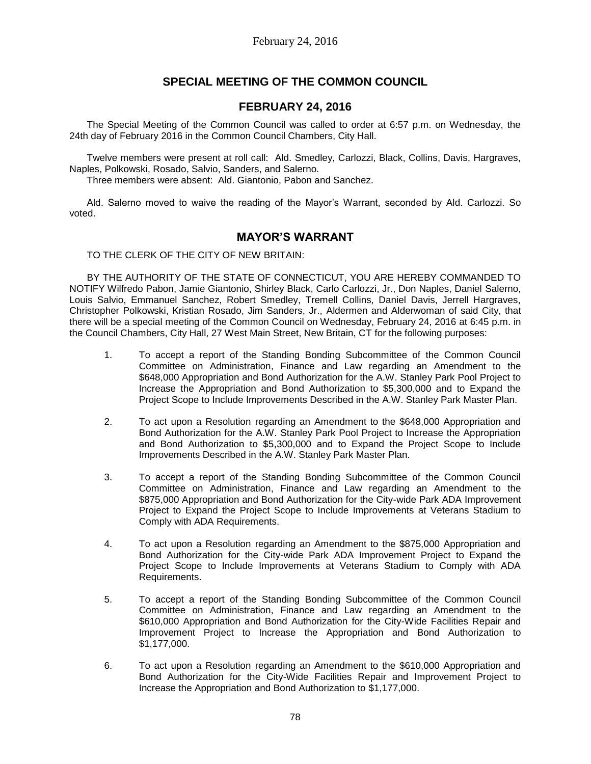# **SPECIAL MEETING OF THE COMMON COUNCIL**

# **FEBRUARY 24, 2016**

The Special Meeting of the Common Council was called to order at 6:57 p.m. on Wednesday, the 24th day of February 2016 in the Common Council Chambers, City Hall.

Twelve members were present at roll call: Ald. Smedley, Carlozzi, Black, Collins, Davis, Hargraves, Naples, Polkowski, Rosado, Salvio, Sanders, and Salerno.

Three members were absent: Ald. Giantonio, Pabon and Sanchez.

Ald. Salerno moved to waive the reading of the Mayor's Warrant, seconded by Ald. Carlozzi. So voted.

# **MAYOR'S WARRANT**

TO THE CLERK OF THE CITY OF NEW BRITAIN:

BY THE AUTHORITY OF THE STATE OF CONNECTICUT, YOU ARE HEREBY COMMANDED TO NOTIFY Wilfredo Pabon, Jamie Giantonio, Shirley Black, Carlo Carlozzi, Jr., Don Naples, Daniel Salerno, Louis Salvio, Emmanuel Sanchez, Robert Smedley, Tremell Collins, Daniel Davis, Jerrell Hargraves, Christopher Polkowski, Kristian Rosado, Jim Sanders, Jr., Aldermen and Alderwoman of said City, that there will be a special meeting of the Common Council on Wednesday, February 24, 2016 at 6:45 p.m. in the Council Chambers, City Hall, 27 West Main Street, New Britain, CT for the following purposes:

- 1. To accept a report of the Standing Bonding Subcommittee of the Common Council Committee on Administration, Finance and Law regarding an Amendment to the \$648,000 Appropriation and Bond Authorization for the A.W. Stanley Park Pool Project to Increase the Appropriation and Bond Authorization to \$5,300,000 and to Expand the Project Scope to Include Improvements Described in the A.W. Stanley Park Master Plan.
- 2. To act upon a Resolution regarding an Amendment to the \$648,000 Appropriation and Bond Authorization for the A.W. Stanley Park Pool Project to Increase the Appropriation and Bond Authorization to \$5,300,000 and to Expand the Project Scope to Include Improvements Described in the A.W. Stanley Park Master Plan.
- 3. To accept a report of the Standing Bonding Subcommittee of the Common Council Committee on Administration, Finance and Law regarding an Amendment to the \$875,000 Appropriation and Bond Authorization for the City-wide Park ADA Improvement Project to Expand the Project Scope to Include Improvements at Veterans Stadium to Comply with ADA Requirements.
- 4. To act upon a Resolution regarding an Amendment to the \$875,000 Appropriation and Bond Authorization for the City-wide Park ADA Improvement Project to Expand the Project Scope to Include Improvements at Veterans Stadium to Comply with ADA Requirements.
- 5. To accept a report of the Standing Bonding Subcommittee of the Common Council Committee on Administration, Finance and Law regarding an Amendment to the \$610,000 Appropriation and Bond Authorization for the City-Wide Facilities Repair and Improvement Project to Increase the Appropriation and Bond Authorization to \$1,177,000.
- 6. To act upon a Resolution regarding an Amendment to the \$610,000 Appropriation and Bond Authorization for the City-Wide Facilities Repair and Improvement Project to Increase the Appropriation and Bond Authorization to \$1,177,000.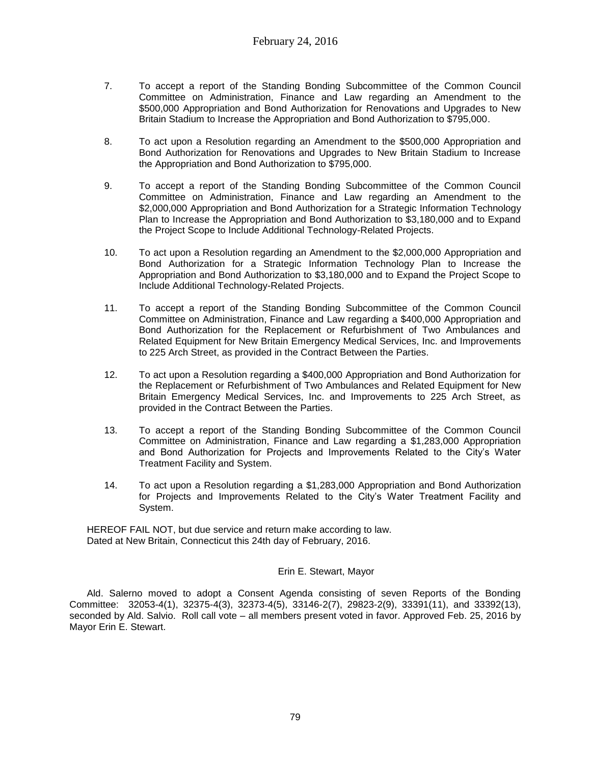- 7. To accept a report of the Standing Bonding Subcommittee of the Common Council Committee on Administration, Finance and Law regarding an Amendment to the \$500,000 Appropriation and Bond Authorization for Renovations and Upgrades to New Britain Stadium to Increase the Appropriation and Bond Authorization to \$795,000.
- 8. To act upon a Resolution regarding an Amendment to the \$500,000 Appropriation and Bond Authorization for Renovations and Upgrades to New Britain Stadium to Increase the Appropriation and Bond Authorization to \$795,000.
- 9. To accept a report of the Standing Bonding Subcommittee of the Common Council Committee on Administration, Finance and Law regarding an Amendment to the \$2,000,000 Appropriation and Bond Authorization for a Strategic Information Technology Plan to Increase the Appropriation and Bond Authorization to \$3,180,000 and to Expand the Project Scope to Include Additional Technology-Related Projects.
- 10. To act upon a Resolution regarding an Amendment to the \$2,000,000 Appropriation and Bond Authorization for a Strategic Information Technology Plan to Increase the Appropriation and Bond Authorization to \$3,180,000 and to Expand the Project Scope to Include Additional Technology-Related Projects.
- 11. To accept a report of the Standing Bonding Subcommittee of the Common Council Committee on Administration, Finance and Law regarding a \$400,000 Appropriation and Bond Authorization for the Replacement or Refurbishment of Two Ambulances and Related Equipment for New Britain Emergency Medical Services, Inc. and Improvements to 225 Arch Street, as provided in the Contract Between the Parties.
- 12. To act upon a Resolution regarding a \$400,000 Appropriation and Bond Authorization for the Replacement or Refurbishment of Two Ambulances and Related Equipment for New Britain Emergency Medical Services, Inc. and Improvements to 225 Arch Street, as provided in the Contract Between the Parties.
- 13. To accept a report of the Standing Bonding Subcommittee of the Common Council Committee on Administration, Finance and Law regarding a \$1,283,000 Appropriation and Bond Authorization for Projects and Improvements Related to the City's Water Treatment Facility and System.
- 14. To act upon a Resolution regarding a \$1,283,000 Appropriation and Bond Authorization for Projects and Improvements Related to the City's Water Treatment Facility and System.

HEREOF FAIL NOT, but due service and return make according to law. Dated at New Britain, Connecticut this 24th day of February, 2016.

# Erin E. Stewart, Mayor

Ald. Salerno moved to adopt a Consent Agenda consisting of seven Reports of the Bonding Committee: 32053-4(1), 32375-4(3), 32373-4(5), 33146-2(7), 29823-2(9), 33391(11), and 33392(13), seconded by Ald. Salvio. Roll call vote – all members present voted in favor. Approved Feb. 25, 2016 by Mayor Erin E. Stewart.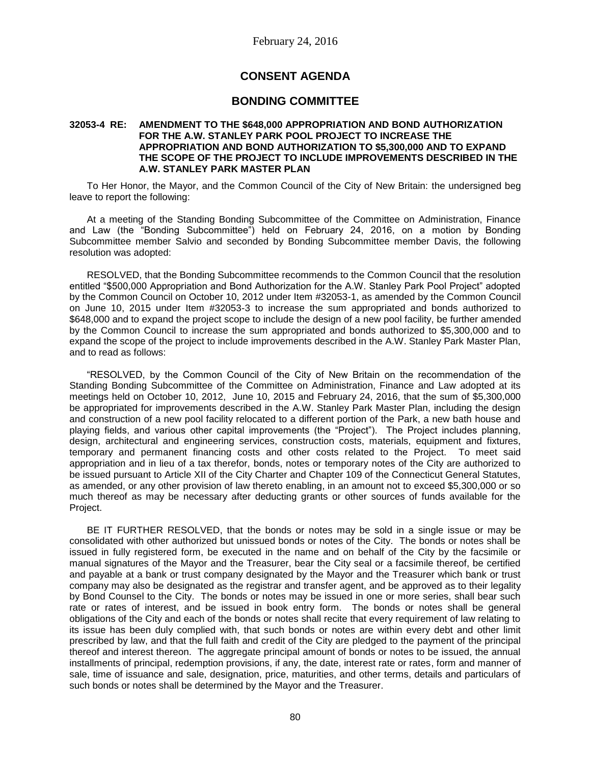# **CONSENT AGENDA**

# **BONDING COMMITTEE**

### **32053-4 RE: AMENDMENT TO THE \$648,000 APPROPRIATION AND BOND AUTHORIZATION FOR THE A.W. STANLEY PARK POOL PROJECT TO INCREASE THE APPROPRIATION AND BOND AUTHORIZATION TO \$5,300,000 AND TO EXPAND THE SCOPE OF THE PROJECT TO INCLUDE IMPROVEMENTS DESCRIBED IN THE A.W. STANLEY PARK MASTER PLAN**

To Her Honor, the Mayor, and the Common Council of the City of New Britain: the undersigned beg leave to report the following:

At a meeting of the Standing Bonding Subcommittee of the Committee on Administration, Finance and Law (the "Bonding Subcommittee") held on February 24, 2016, on a motion by Bonding Subcommittee member Salvio and seconded by Bonding Subcommittee member Davis, the following resolution was adopted:

RESOLVED, that the Bonding Subcommittee recommends to the Common Council that the resolution entitled "\$500,000 Appropriation and Bond Authorization for the A.W. Stanley Park Pool Project" adopted by the Common Council on October 10, 2012 under Item #32053-1, as amended by the Common Council on June 10, 2015 under Item #32053-3 to increase the sum appropriated and bonds authorized to \$648,000 and to expand the project scope to include the design of a new pool facility, be further amended by the Common Council to increase the sum appropriated and bonds authorized to \$5,300,000 and to expand the scope of the project to include improvements described in the A.W. Stanley Park Master Plan, and to read as follows:

"RESOLVED, by the Common Council of the City of New Britain on the recommendation of the Standing Bonding Subcommittee of the Committee on Administration, Finance and Law adopted at its meetings held on October 10, 2012, June 10, 2015 and February 24, 2016, that the sum of \$5,300,000 be appropriated for improvements described in the A.W. Stanley Park Master Plan, including the design and construction of a new pool facility relocated to a different portion of the Park, a new bath house and playing fields, and various other capital improvements (the "Project"). The Project includes planning, design, architectural and engineering services, construction costs, materials, equipment and fixtures, temporary and permanent financing costs and other costs related to the Project. To meet said appropriation and in lieu of a tax therefor, bonds, notes or temporary notes of the City are authorized to be issued pursuant to Article XII of the City Charter and Chapter 109 of the Connecticut General Statutes, as amended, or any other provision of law thereto enabling, in an amount not to exceed \$5,300,000 or so much thereof as may be necessary after deducting grants or other sources of funds available for the Project.

BE IT FURTHER RESOLVED, that the bonds or notes may be sold in a single issue or may be consolidated with other authorized but unissued bonds or notes of the City. The bonds or notes shall be issued in fully registered form, be executed in the name and on behalf of the City by the facsimile or manual signatures of the Mayor and the Treasurer, bear the City seal or a facsimile thereof, be certified and payable at a bank or trust company designated by the Mayor and the Treasurer which bank or trust company may also be designated as the registrar and transfer agent, and be approved as to their legality by Bond Counsel to the City. The bonds or notes may be issued in one or more series, shall bear such rate or rates of interest, and be issued in book entry form. The bonds or notes shall be general obligations of the City and each of the bonds or notes shall recite that every requirement of law relating to its issue has been duly complied with, that such bonds or notes are within every debt and other limit prescribed by law, and that the full faith and credit of the City are pledged to the payment of the principal thereof and interest thereon. The aggregate principal amount of bonds or notes to be issued, the annual installments of principal, redemption provisions, if any, the date, interest rate or rates, form and manner of sale, time of issuance and sale, designation, price, maturities, and other terms, details and particulars of such bonds or notes shall be determined by the Mayor and the Treasurer.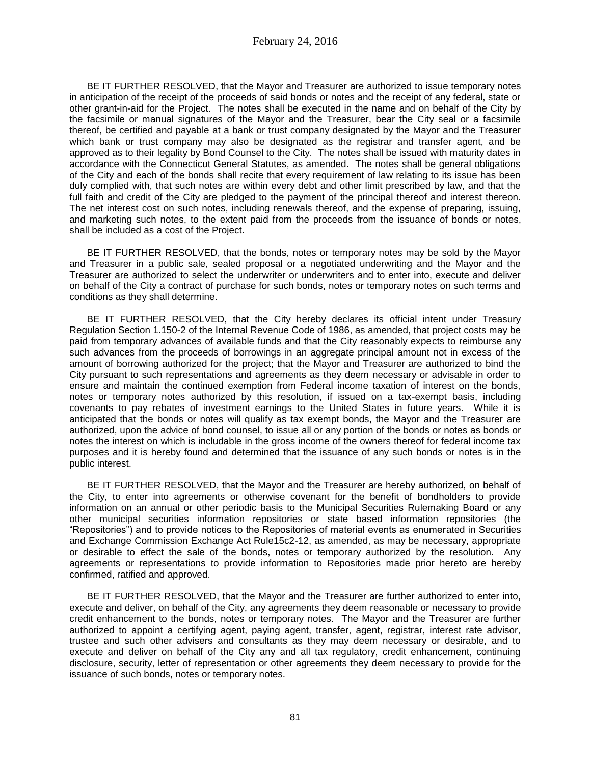BE IT FURTHER RESOLVED, that the Mayor and Treasurer are authorized to issue temporary notes in anticipation of the receipt of the proceeds of said bonds or notes and the receipt of any federal, state or other grant-in-aid for the Project. The notes shall be executed in the name and on behalf of the City by the facsimile or manual signatures of the Mayor and the Treasurer, bear the City seal or a facsimile thereof, be certified and payable at a bank or trust company designated by the Mayor and the Treasurer which bank or trust company may also be designated as the registrar and transfer agent, and be approved as to their legality by Bond Counsel to the City. The notes shall be issued with maturity dates in accordance with the Connecticut General Statutes, as amended. The notes shall be general obligations of the City and each of the bonds shall recite that every requirement of law relating to its issue has been duly complied with, that such notes are within every debt and other limit prescribed by law, and that the full faith and credit of the City are pledged to the payment of the principal thereof and interest thereon. The net interest cost on such notes, including renewals thereof, and the expense of preparing, issuing, and marketing such notes, to the extent paid from the proceeds from the issuance of bonds or notes, shall be included as a cost of the Project.

BE IT FURTHER RESOLVED, that the bonds, notes or temporary notes may be sold by the Mayor and Treasurer in a public sale, sealed proposal or a negotiated underwriting and the Mayor and the Treasurer are authorized to select the underwriter or underwriters and to enter into, execute and deliver on behalf of the City a contract of purchase for such bonds, notes or temporary notes on such terms and conditions as they shall determine.

BE IT FURTHER RESOLVED, that the City hereby declares its official intent under Treasury Regulation Section 1.150-2 of the Internal Revenue Code of 1986, as amended, that project costs may be paid from temporary advances of available funds and that the City reasonably expects to reimburse any such advances from the proceeds of borrowings in an aggregate principal amount not in excess of the amount of borrowing authorized for the project; that the Mayor and Treasurer are authorized to bind the City pursuant to such representations and agreements as they deem necessary or advisable in order to ensure and maintain the continued exemption from Federal income taxation of interest on the bonds, notes or temporary notes authorized by this resolution, if issued on a tax-exempt basis, including covenants to pay rebates of investment earnings to the United States in future years. While it is anticipated that the bonds or notes will qualify as tax exempt bonds, the Mayor and the Treasurer are authorized, upon the advice of bond counsel, to issue all or any portion of the bonds or notes as bonds or notes the interest on which is includable in the gross income of the owners thereof for federal income tax purposes and it is hereby found and determined that the issuance of any such bonds or notes is in the public interest.

BE IT FURTHER RESOLVED, that the Mayor and the Treasurer are hereby authorized, on behalf of the City, to enter into agreements or otherwise covenant for the benefit of bondholders to provide information on an annual or other periodic basis to the Municipal Securities Rulemaking Board or any other municipal securities information repositories or state based information repositories (the "Repositories") and to provide notices to the Repositories of material events as enumerated in Securities and Exchange Commission Exchange Act Rule15c2-12, as amended, as may be necessary, appropriate or desirable to effect the sale of the bonds, notes or temporary authorized by the resolution. Any agreements or representations to provide information to Repositories made prior hereto are hereby confirmed, ratified and approved.

BE IT FURTHER RESOLVED, that the Mayor and the Treasurer are further authorized to enter into, execute and deliver, on behalf of the City, any agreements they deem reasonable or necessary to provide credit enhancement to the bonds, notes or temporary notes. The Mayor and the Treasurer are further authorized to appoint a certifying agent, paying agent, transfer, agent, registrar, interest rate advisor, trustee and such other advisers and consultants as they may deem necessary or desirable, and to execute and deliver on behalf of the City any and all tax regulatory, credit enhancement, continuing disclosure, security, letter of representation or other agreements they deem necessary to provide for the issuance of such bonds, notes or temporary notes.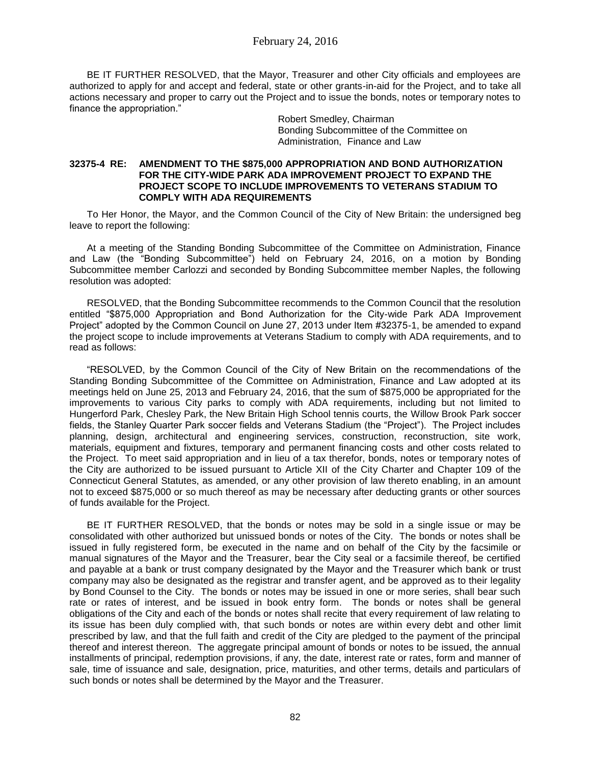BE IT FURTHER RESOLVED, that the Mayor, Treasurer and other City officials and employees are authorized to apply for and accept and federal, state or other grants-in-aid for the Project, and to take all actions necessary and proper to carry out the Project and to issue the bonds, notes or temporary notes to finance the appropriation."

> Robert Smedley, Chairman Bonding Subcommittee of the Committee on Administration, Finance and Law

### **32375-4 RE: AMENDMENT TO THE \$875,000 APPROPRIATION AND BOND AUTHORIZATION FOR THE CITY-WIDE PARK ADA IMPROVEMENT PROJECT TO EXPAND THE PROJECT SCOPE TO INCLUDE IMPROVEMENTS TO VETERANS STADIUM TO COMPLY WITH ADA REQUIREMENTS**

To Her Honor, the Mayor, and the Common Council of the City of New Britain: the undersigned beg leave to report the following:

At a meeting of the Standing Bonding Subcommittee of the Committee on Administration, Finance and Law (the "Bonding Subcommittee") held on February 24, 2016, on a motion by Bonding Subcommittee member Carlozzi and seconded by Bonding Subcommittee member Naples, the following resolution was adopted:

RESOLVED, that the Bonding Subcommittee recommends to the Common Council that the resolution entitled "\$875,000 Appropriation and Bond Authorization for the City-wide Park ADA Improvement Project" adopted by the Common Council on June 27, 2013 under Item #32375-1, be amended to expand the project scope to include improvements at Veterans Stadium to comply with ADA requirements, and to read as follows:

"RESOLVED, by the Common Council of the City of New Britain on the recommendations of the Standing Bonding Subcommittee of the Committee on Administration, Finance and Law adopted at its meetings held on June 25, 2013 and February 24, 2016, that the sum of \$875,000 be appropriated for the improvements to various City parks to comply with ADA requirements, including but not limited to Hungerford Park, Chesley Park, the New Britain High School tennis courts, the Willow Brook Park soccer fields, the Stanley Quarter Park soccer fields and Veterans Stadium (the "Project"). The Project includes planning, design, architectural and engineering services, construction, reconstruction, site work, materials, equipment and fixtures, temporary and permanent financing costs and other costs related to the Project. To meet said appropriation and in lieu of a tax therefor, bonds, notes or temporary notes of the City are authorized to be issued pursuant to Article XII of the City Charter and Chapter 109 of the Connecticut General Statutes, as amended, or any other provision of law thereto enabling, in an amount not to exceed \$875,000 or so much thereof as may be necessary after deducting grants or other sources of funds available for the Project.

BE IT FURTHER RESOLVED, that the bonds or notes may be sold in a single issue or may be consolidated with other authorized but unissued bonds or notes of the City. The bonds or notes shall be issued in fully registered form, be executed in the name and on behalf of the City by the facsimile or manual signatures of the Mayor and the Treasurer, bear the City seal or a facsimile thereof, be certified and payable at a bank or trust company designated by the Mayor and the Treasurer which bank or trust company may also be designated as the registrar and transfer agent, and be approved as to their legality by Bond Counsel to the City. The bonds or notes may be issued in one or more series, shall bear such rate or rates of interest, and be issued in book entry form. The bonds or notes shall be general obligations of the City and each of the bonds or notes shall recite that every requirement of law relating to its issue has been duly complied with, that such bonds or notes are within every debt and other limit prescribed by law, and that the full faith and credit of the City are pledged to the payment of the principal thereof and interest thereon. The aggregate principal amount of bonds or notes to be issued, the annual installments of principal, redemption provisions, if any, the date, interest rate or rates, form and manner of sale, time of issuance and sale, designation, price, maturities, and other terms, details and particulars of such bonds or notes shall be determined by the Mayor and the Treasurer.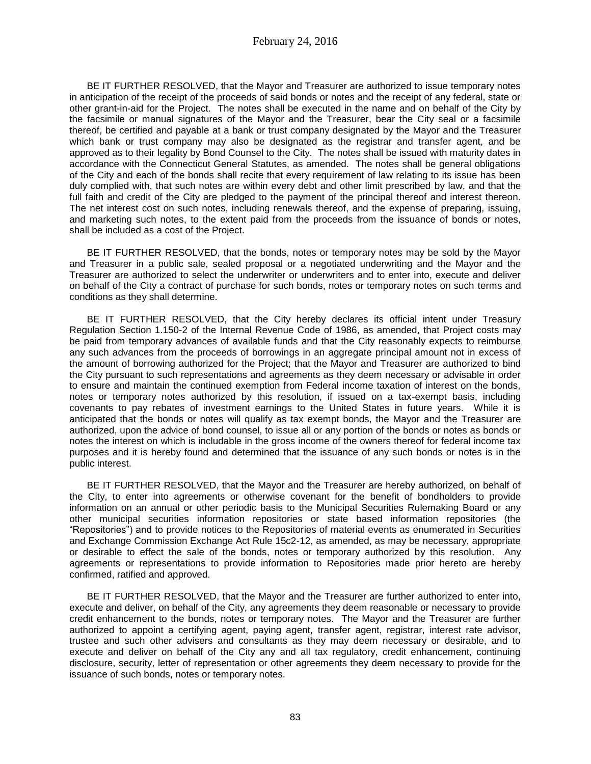BE IT FURTHER RESOLVED, that the Mayor and Treasurer are authorized to issue temporary notes in anticipation of the receipt of the proceeds of said bonds or notes and the receipt of any federal, state or other grant-in-aid for the Project. The notes shall be executed in the name and on behalf of the City by the facsimile or manual signatures of the Mayor and the Treasurer, bear the City seal or a facsimile thereof, be certified and payable at a bank or trust company designated by the Mayor and the Treasurer which bank or trust company may also be designated as the registrar and transfer agent, and be approved as to their legality by Bond Counsel to the City. The notes shall be issued with maturity dates in accordance with the Connecticut General Statutes, as amended. The notes shall be general obligations of the City and each of the bonds shall recite that every requirement of law relating to its issue has been duly complied with, that such notes are within every debt and other limit prescribed by law, and that the full faith and credit of the City are pledged to the payment of the principal thereof and interest thereon. The net interest cost on such notes, including renewals thereof, and the expense of preparing, issuing, and marketing such notes, to the extent paid from the proceeds from the issuance of bonds or notes, shall be included as a cost of the Project.

BE IT FURTHER RESOLVED, that the bonds, notes or temporary notes may be sold by the Mayor and Treasurer in a public sale, sealed proposal or a negotiated underwriting and the Mayor and the Treasurer are authorized to select the underwriter or underwriters and to enter into, execute and deliver on behalf of the City a contract of purchase for such bonds, notes or temporary notes on such terms and conditions as they shall determine.

BE IT FURTHER RESOLVED, that the City hereby declares its official intent under Treasury Regulation Section 1.150-2 of the Internal Revenue Code of 1986, as amended, that Project costs may be paid from temporary advances of available funds and that the City reasonably expects to reimburse any such advances from the proceeds of borrowings in an aggregate principal amount not in excess of the amount of borrowing authorized for the Project; that the Mayor and Treasurer are authorized to bind the City pursuant to such representations and agreements as they deem necessary or advisable in order to ensure and maintain the continued exemption from Federal income taxation of interest on the bonds, notes or temporary notes authorized by this resolution, if issued on a tax-exempt basis, including covenants to pay rebates of investment earnings to the United States in future years. While it is anticipated that the bonds or notes will qualify as tax exempt bonds, the Mayor and the Treasurer are authorized, upon the advice of bond counsel, to issue all or any portion of the bonds or notes as bonds or notes the interest on which is includable in the gross income of the owners thereof for federal income tax purposes and it is hereby found and determined that the issuance of any such bonds or notes is in the public interest.

BE IT FURTHER RESOLVED, that the Mayor and the Treasurer are hereby authorized, on behalf of the City, to enter into agreements or otherwise covenant for the benefit of bondholders to provide information on an annual or other periodic basis to the Municipal Securities Rulemaking Board or any other municipal securities information repositories or state based information repositories (the "Repositories") and to provide notices to the Repositories of material events as enumerated in Securities and Exchange Commission Exchange Act Rule 15c2-12, as amended, as may be necessary, appropriate or desirable to effect the sale of the bonds, notes or temporary authorized by this resolution. Any agreements or representations to provide information to Repositories made prior hereto are hereby confirmed, ratified and approved.

BE IT FURTHER RESOLVED, that the Mayor and the Treasurer are further authorized to enter into, execute and deliver, on behalf of the City, any agreements they deem reasonable or necessary to provide credit enhancement to the bonds, notes or temporary notes. The Mayor and the Treasurer are further authorized to appoint a certifying agent, paying agent, transfer agent, registrar, interest rate advisor, trustee and such other advisers and consultants as they may deem necessary or desirable, and to execute and deliver on behalf of the City any and all tax regulatory, credit enhancement, continuing disclosure, security, letter of representation or other agreements they deem necessary to provide for the issuance of such bonds, notes or temporary notes.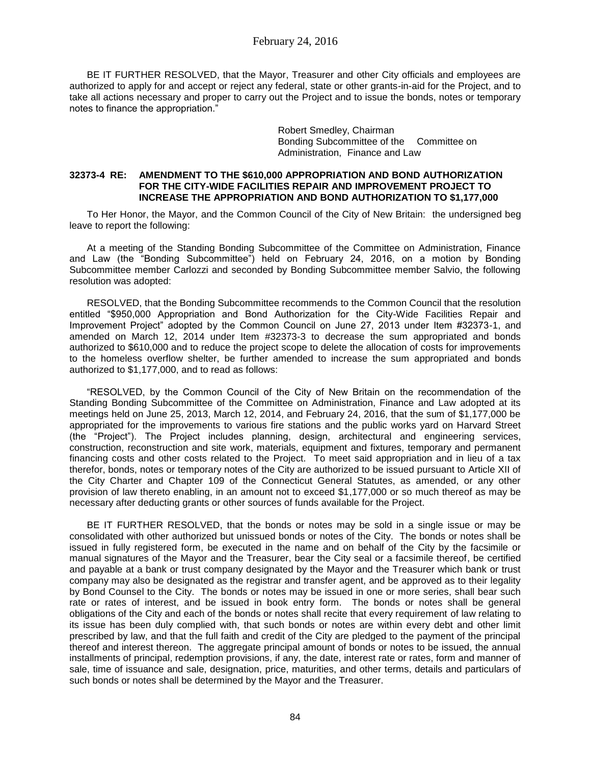BE IT FURTHER RESOLVED, that the Mayor, Treasurer and other City officials and employees are authorized to apply for and accept or reject any federal, state or other grants-in-aid for the Project, and to take all actions necessary and proper to carry out the Project and to issue the bonds, notes or temporary notes to finance the appropriation."

> Robert Smedley, Chairman Bonding Subcommittee of the Committee on Administration, Finance and Law

### **32373-4 RE: AMENDMENT TO THE \$610,000 APPROPRIATION AND BOND AUTHORIZATION FOR THE CITY-WIDE FACILITIES REPAIR AND IMPROVEMENT PROJECT TO INCREASE THE APPROPRIATION AND BOND AUTHORIZATION TO \$1,177,000**

To Her Honor, the Mayor, and the Common Council of the City of New Britain: the undersigned beg leave to report the following:

At a meeting of the Standing Bonding Subcommittee of the Committee on Administration, Finance and Law (the "Bonding Subcommittee") held on February 24, 2016, on a motion by Bonding Subcommittee member Carlozzi and seconded by Bonding Subcommittee member Salvio, the following resolution was adopted:

RESOLVED, that the Bonding Subcommittee recommends to the Common Council that the resolution entitled "\$950,000 Appropriation and Bond Authorization for the City-Wide Facilities Repair and Improvement Project" adopted by the Common Council on June 27, 2013 under Item #32373-1, and amended on March 12, 2014 under Item #32373-3 to decrease the sum appropriated and bonds authorized to \$610,000 and to reduce the project scope to delete the allocation of costs for improvements to the homeless overflow shelter, be further amended to increase the sum appropriated and bonds authorized to \$1,177,000, and to read as follows:

"RESOLVED, by the Common Council of the City of New Britain on the recommendation of the Standing Bonding Subcommittee of the Committee on Administration, Finance and Law adopted at its meetings held on June 25, 2013, March 12, 2014, and February 24, 2016, that the sum of \$1,177,000 be appropriated for the improvements to various fire stations and the public works yard on Harvard Street (the "Project"). The Project includes planning, design, architectural and engineering services, construction, reconstruction and site work, materials, equipment and fixtures, temporary and permanent financing costs and other costs related to the Project. To meet said appropriation and in lieu of a tax therefor, bonds, notes or temporary notes of the City are authorized to be issued pursuant to Article XII of the City Charter and Chapter 109 of the Connecticut General Statutes, as amended, or any other provision of law thereto enabling, in an amount not to exceed \$1,177,000 or so much thereof as may be necessary after deducting grants or other sources of funds available for the Project.

BE IT FURTHER RESOLVED, that the bonds or notes may be sold in a single issue or may be consolidated with other authorized but unissued bonds or notes of the City. The bonds or notes shall be issued in fully registered form, be executed in the name and on behalf of the City by the facsimile or manual signatures of the Mayor and the Treasurer, bear the City seal or a facsimile thereof, be certified and payable at a bank or trust company designated by the Mayor and the Treasurer which bank or trust company may also be designated as the registrar and transfer agent, and be approved as to their legality by Bond Counsel to the City. The bonds or notes may be issued in one or more series, shall bear such rate or rates of interest, and be issued in book entry form. The bonds or notes shall be general obligations of the City and each of the bonds or notes shall recite that every requirement of law relating to its issue has been duly complied with, that such bonds or notes are within every debt and other limit prescribed by law, and that the full faith and credit of the City are pledged to the payment of the principal thereof and interest thereon. The aggregate principal amount of bonds or notes to be issued, the annual installments of principal, redemption provisions, if any, the date, interest rate or rates, form and manner of sale, time of issuance and sale, designation, price, maturities, and other terms, details and particulars of such bonds or notes shall be determined by the Mayor and the Treasurer.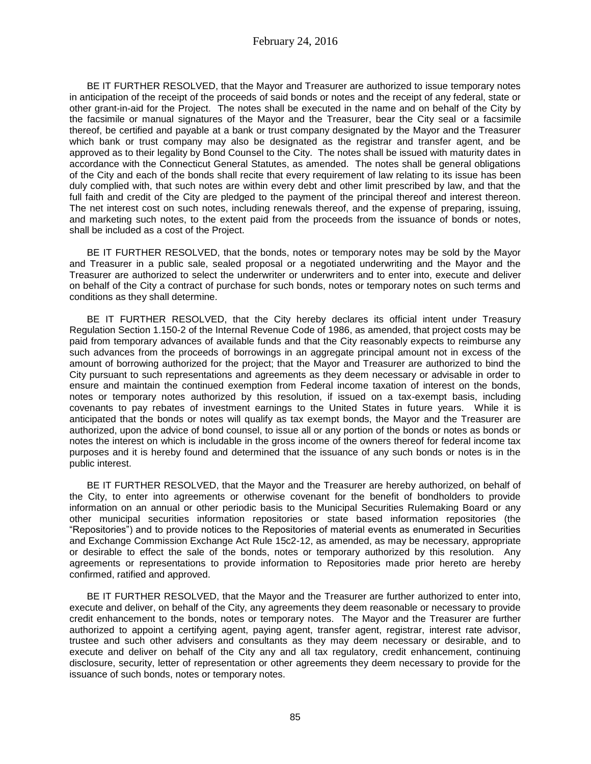BE IT FURTHER RESOLVED, that the Mayor and Treasurer are authorized to issue temporary notes in anticipation of the receipt of the proceeds of said bonds or notes and the receipt of any federal, state or other grant-in-aid for the Project. The notes shall be executed in the name and on behalf of the City by the facsimile or manual signatures of the Mayor and the Treasurer, bear the City seal or a facsimile thereof, be certified and payable at a bank or trust company designated by the Mayor and the Treasurer which bank or trust company may also be designated as the registrar and transfer agent, and be approved as to their legality by Bond Counsel to the City. The notes shall be issued with maturity dates in accordance with the Connecticut General Statutes, as amended. The notes shall be general obligations of the City and each of the bonds shall recite that every requirement of law relating to its issue has been duly complied with, that such notes are within every debt and other limit prescribed by law, and that the full faith and credit of the City are pledged to the payment of the principal thereof and interest thereon. The net interest cost on such notes, including renewals thereof, and the expense of preparing, issuing, and marketing such notes, to the extent paid from the proceeds from the issuance of bonds or notes, shall be included as a cost of the Project.

BE IT FURTHER RESOLVED, that the bonds, notes or temporary notes may be sold by the Mayor and Treasurer in a public sale, sealed proposal or a negotiated underwriting and the Mayor and the Treasurer are authorized to select the underwriter or underwriters and to enter into, execute and deliver on behalf of the City a contract of purchase for such bonds, notes or temporary notes on such terms and conditions as they shall determine.

BE IT FURTHER RESOLVED, that the City hereby declares its official intent under Treasury Regulation Section 1.150-2 of the Internal Revenue Code of 1986, as amended, that project costs may be paid from temporary advances of available funds and that the City reasonably expects to reimburse any such advances from the proceeds of borrowings in an aggregate principal amount not in excess of the amount of borrowing authorized for the project; that the Mayor and Treasurer are authorized to bind the City pursuant to such representations and agreements as they deem necessary or advisable in order to ensure and maintain the continued exemption from Federal income taxation of interest on the bonds, notes or temporary notes authorized by this resolution, if issued on a tax-exempt basis, including covenants to pay rebates of investment earnings to the United States in future years. While it is anticipated that the bonds or notes will qualify as tax exempt bonds, the Mayor and the Treasurer are authorized, upon the advice of bond counsel, to issue all or any portion of the bonds or notes as bonds or notes the interest on which is includable in the gross income of the owners thereof for federal income tax purposes and it is hereby found and determined that the issuance of any such bonds or notes is in the public interest.

BE IT FURTHER RESOLVED, that the Mayor and the Treasurer are hereby authorized, on behalf of the City, to enter into agreements or otherwise covenant for the benefit of bondholders to provide information on an annual or other periodic basis to the Municipal Securities Rulemaking Board or any other municipal securities information repositories or state based information repositories (the "Repositories") and to provide notices to the Repositories of material events as enumerated in Securities and Exchange Commission Exchange Act Rule 15c2-12, as amended, as may be necessary, appropriate or desirable to effect the sale of the bonds, notes or temporary authorized by this resolution. Any agreements or representations to provide information to Repositories made prior hereto are hereby confirmed, ratified and approved.

BE IT FURTHER RESOLVED, that the Mayor and the Treasurer are further authorized to enter into, execute and deliver, on behalf of the City, any agreements they deem reasonable or necessary to provide credit enhancement to the bonds, notes or temporary notes. The Mayor and the Treasurer are further authorized to appoint a certifying agent, paying agent, transfer agent, registrar, interest rate advisor, trustee and such other advisers and consultants as they may deem necessary or desirable, and to execute and deliver on behalf of the City any and all tax regulatory, credit enhancement, continuing disclosure, security, letter of representation or other agreements they deem necessary to provide for the issuance of such bonds, notes or temporary notes.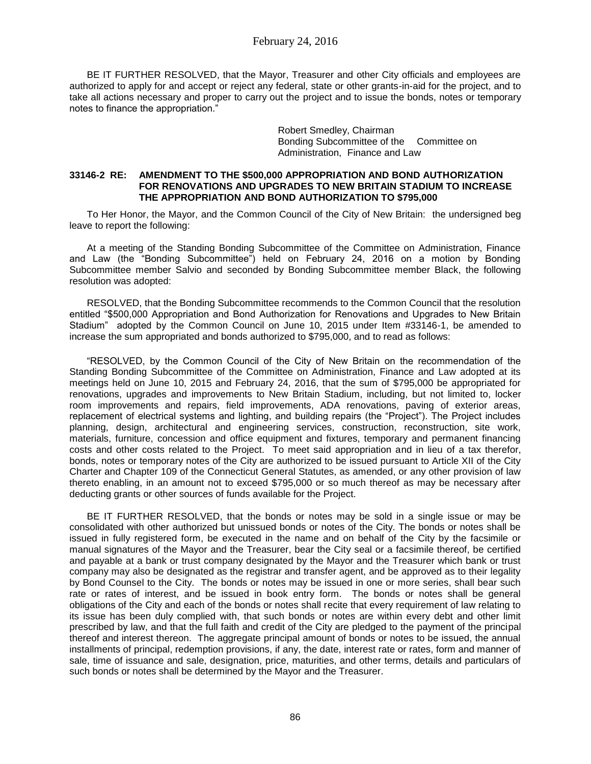BE IT FURTHER RESOLVED, that the Mayor, Treasurer and other City officials and employees are authorized to apply for and accept or reject any federal, state or other grants-in-aid for the project, and to take all actions necessary and proper to carry out the project and to issue the bonds, notes or temporary notes to finance the appropriation."

> Robert Smedley, Chairman Bonding Subcommittee of the Committee on Administration, Finance and Law

### **33146-2 RE: AMENDMENT TO THE \$500,000 APPROPRIATION AND BOND AUTHORIZATION FOR RENOVATIONS AND UPGRADES TO NEW BRITAIN STADIUM TO INCREASE THE APPROPRIATION AND BOND AUTHORIZATION TO \$795,000**

To Her Honor, the Mayor, and the Common Council of the City of New Britain: the undersigned beg leave to report the following:

At a meeting of the Standing Bonding Subcommittee of the Committee on Administration, Finance and Law (the "Bonding Subcommittee") held on February 24, 2016 on a motion by Bonding Subcommittee member Salvio and seconded by Bonding Subcommittee member Black, the following resolution was adopted:

RESOLVED, that the Bonding Subcommittee recommends to the Common Council that the resolution entitled "\$500,000 Appropriation and Bond Authorization for Renovations and Upgrades to New Britain Stadium" adopted by the Common Council on June 10, 2015 under Item #33146-1, be amended to increase the sum appropriated and bonds authorized to \$795,000, and to read as follows:

"RESOLVED, by the Common Council of the City of New Britain on the recommendation of the Standing Bonding Subcommittee of the Committee on Administration, Finance and Law adopted at its meetings held on June 10, 2015 and February 24, 2016, that the sum of \$795,000 be appropriated for renovations, upgrades and improvements to New Britain Stadium, including, but not limited to, locker room improvements and repairs, field improvements, ADA renovations, paving of exterior areas, replacement of electrical systems and lighting, and building repairs (the "Project"). The Project includes planning, design, architectural and engineering services, construction, reconstruction, site work, materials, furniture, concession and office equipment and fixtures, temporary and permanent financing costs and other costs related to the Project. To meet said appropriation and in lieu of a tax therefor, bonds, notes or temporary notes of the City are authorized to be issued pursuant to Article XII of the City Charter and Chapter 109 of the Connecticut General Statutes, as amended, or any other provision of law thereto enabling, in an amount not to exceed \$795,000 or so much thereof as may be necessary after deducting grants or other sources of funds available for the Project.

BE IT FURTHER RESOLVED, that the bonds or notes may be sold in a single issue or may be consolidated with other authorized but unissued bonds or notes of the City. The bonds or notes shall be issued in fully registered form, be executed in the name and on behalf of the City by the facsimile or manual signatures of the Mayor and the Treasurer, bear the City seal or a facsimile thereof, be certified and payable at a bank or trust company designated by the Mayor and the Treasurer which bank or trust company may also be designated as the registrar and transfer agent, and be approved as to their legality by Bond Counsel to the City. The bonds or notes may be issued in one or more series, shall bear such rate or rates of interest, and be issued in book entry form. The bonds or notes shall be general obligations of the City and each of the bonds or notes shall recite that every requirement of law relating to its issue has been duly complied with, that such bonds or notes are within every debt and other limit prescribed by law, and that the full faith and credit of the City are pledged to the payment of the principal thereof and interest thereon. The aggregate principal amount of bonds or notes to be issued, the annual installments of principal, redemption provisions, if any, the date, interest rate or rates, form and manner of sale, time of issuance and sale, designation, price, maturities, and other terms, details and particulars of such bonds or notes shall be determined by the Mayor and the Treasurer.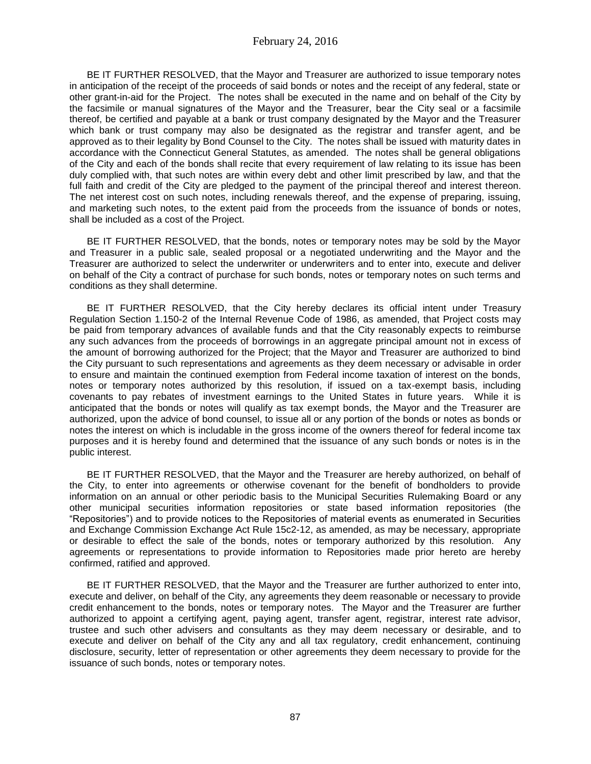BE IT FURTHER RESOLVED, that the Mayor and Treasurer are authorized to issue temporary notes in anticipation of the receipt of the proceeds of said bonds or notes and the receipt of any federal, state or other grant-in-aid for the Project. The notes shall be executed in the name and on behalf of the City by the facsimile or manual signatures of the Mayor and the Treasurer, bear the City seal or a facsimile thereof, be certified and payable at a bank or trust company designated by the Mayor and the Treasurer which bank or trust company may also be designated as the registrar and transfer agent, and be approved as to their legality by Bond Counsel to the City. The notes shall be issued with maturity dates in accordance with the Connecticut General Statutes, as amended. The notes shall be general obligations of the City and each of the bonds shall recite that every requirement of law relating to its issue has been duly complied with, that such notes are within every debt and other limit prescribed by law, and that the full faith and credit of the City are pledged to the payment of the principal thereof and interest thereon. The net interest cost on such notes, including renewals thereof, and the expense of preparing, issuing, and marketing such notes, to the extent paid from the proceeds from the issuance of bonds or notes, shall be included as a cost of the Project.

BE IT FURTHER RESOLVED, that the bonds, notes or temporary notes may be sold by the Mayor and Treasurer in a public sale, sealed proposal or a negotiated underwriting and the Mayor and the Treasurer are authorized to select the underwriter or underwriters and to enter into, execute and deliver on behalf of the City a contract of purchase for such bonds, notes or temporary notes on such terms and conditions as they shall determine.

BE IT FURTHER RESOLVED, that the City hereby declares its official intent under Treasury Regulation Section 1.150-2 of the Internal Revenue Code of 1986, as amended, that Project costs may be paid from temporary advances of available funds and that the City reasonably expects to reimburse any such advances from the proceeds of borrowings in an aggregate principal amount not in excess of the amount of borrowing authorized for the Project; that the Mayor and Treasurer are authorized to bind the City pursuant to such representations and agreements as they deem necessary or advisable in order to ensure and maintain the continued exemption from Federal income taxation of interest on the bonds, notes or temporary notes authorized by this resolution, if issued on a tax-exempt basis, including covenants to pay rebates of investment earnings to the United States in future years. While it is anticipated that the bonds or notes will qualify as tax exempt bonds, the Mayor and the Treasurer are authorized, upon the advice of bond counsel, to issue all or any portion of the bonds or notes as bonds or notes the interest on which is includable in the gross income of the owners thereof for federal income tax purposes and it is hereby found and determined that the issuance of any such bonds or notes is in the public interest.

BE IT FURTHER RESOLVED, that the Mayor and the Treasurer are hereby authorized, on behalf of the City, to enter into agreements or otherwise covenant for the benefit of bondholders to provide information on an annual or other periodic basis to the Municipal Securities Rulemaking Board or any other municipal securities information repositories or state based information repositories (the "Repositories") and to provide notices to the Repositories of material events as enumerated in Securities and Exchange Commission Exchange Act Rule 15c2-12, as amended, as may be necessary, appropriate or desirable to effect the sale of the bonds, notes or temporary authorized by this resolution. Any agreements or representations to provide information to Repositories made prior hereto are hereby confirmed, ratified and approved.

BE IT FURTHER RESOLVED, that the Mayor and the Treasurer are further authorized to enter into, execute and deliver, on behalf of the City, any agreements they deem reasonable or necessary to provide credit enhancement to the bonds, notes or temporary notes. The Mayor and the Treasurer are further authorized to appoint a certifying agent, paying agent, transfer agent, registrar, interest rate advisor, trustee and such other advisers and consultants as they may deem necessary or desirable, and to execute and deliver on behalf of the City any and all tax regulatory, credit enhancement, continuing disclosure, security, letter of representation or other agreements they deem necessary to provide for the issuance of such bonds, notes or temporary notes.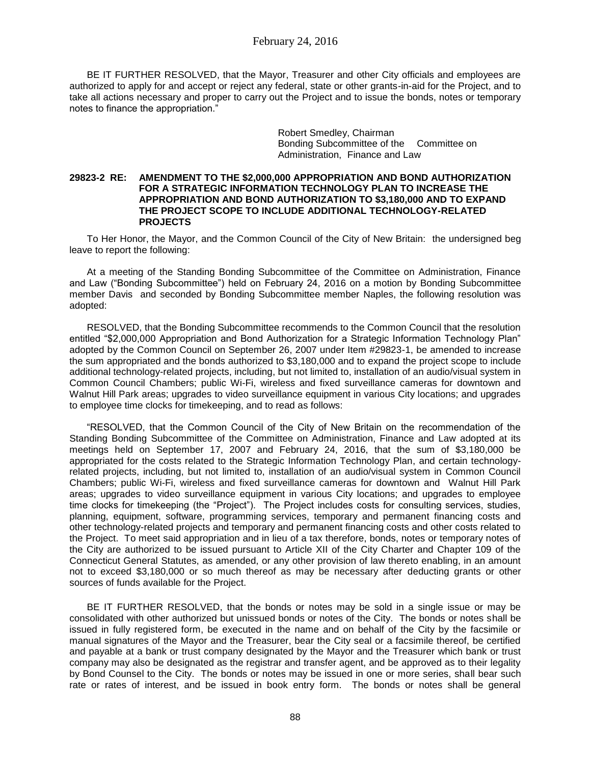BE IT FURTHER RESOLVED, that the Mayor, Treasurer and other City officials and employees are authorized to apply for and accept or reject any federal, state or other grants-in-aid for the Project, and to take all actions necessary and proper to carry out the Project and to issue the bonds, notes or temporary notes to finance the appropriation."

> Robert Smedley, Chairman Bonding Subcommittee of the Committee on Administration, Finance and Law

## **29823-2 RE: AMENDMENT TO THE \$2,000,000 APPROPRIATION AND BOND AUTHORIZATION FOR A STRATEGIC INFORMATION TECHNOLOGY PLAN TO INCREASE THE APPROPRIATION AND BOND AUTHORIZATION TO \$3,180,000 AND TO EXPAND THE PROJECT SCOPE TO INCLUDE ADDITIONAL TECHNOLOGY-RELATED PROJECTS**

To Her Honor, the Mayor, and the Common Council of the City of New Britain: the undersigned beg leave to report the following:

At a meeting of the Standing Bonding Subcommittee of the Committee on Administration, Finance and Law ("Bonding Subcommittee") held on February 24, 2016 on a motion by Bonding Subcommittee member Davis and seconded by Bonding Subcommittee member Naples, the following resolution was adopted:

RESOLVED, that the Bonding Subcommittee recommends to the Common Council that the resolution entitled "\$2,000,000 Appropriation and Bond Authorization for a Strategic Information Technology Plan" adopted by the Common Council on September 26, 2007 under Item #29823-1, be amended to increase the sum appropriated and the bonds authorized to \$3,180,000 and to expand the project scope to include additional technology-related projects, including, but not limited to, installation of an audio/visual system in Common Council Chambers; public Wi-Fi, wireless and fixed surveillance cameras for downtown and Walnut Hill Park areas; upgrades to video surveillance equipment in various City locations; and upgrades to employee time clocks for timekeeping, and to read as follows:

"RESOLVED, that the Common Council of the City of New Britain on the recommendation of the Standing Bonding Subcommittee of the Committee on Administration, Finance and Law adopted at its meetings held on September 17, 2007 and February 24, 2016, that the sum of \$3,180,000 be appropriated for the costs related to the Strategic Information Technology Plan, and certain technologyrelated projects, including, but not limited to, installation of an audio/visual system in Common Council Chambers; public Wi-Fi, wireless and fixed surveillance cameras for downtown and Walnut Hill Park areas; upgrades to video surveillance equipment in various City locations; and upgrades to employee time clocks for timekeeping (the "Project"). The Project includes costs for consulting services, studies, planning, equipment, software, programming services, temporary and permanent financing costs and other technology-related projects and temporary and permanent financing costs and other costs related to the Project. To meet said appropriation and in lieu of a tax therefore, bonds, notes or temporary notes of the City are authorized to be issued pursuant to Article XII of the City Charter and Chapter 109 of the Connecticut General Statutes, as amended, or any other provision of law thereto enabling, in an amount not to exceed \$3,180,000 or so much thereof as may be necessary after deducting grants or other sources of funds available for the Project.

BE IT FURTHER RESOLVED, that the bonds or notes may be sold in a single issue or may be consolidated with other authorized but unissued bonds or notes of the City. The bonds or notes shall be issued in fully registered form, be executed in the name and on behalf of the City by the facsimile or manual signatures of the Mayor and the Treasurer, bear the City seal or a facsimile thereof, be certified and payable at a bank or trust company designated by the Mayor and the Treasurer which bank or trust company may also be designated as the registrar and transfer agent, and be approved as to their legality by Bond Counsel to the City. The bonds or notes may be issued in one or more series, shall bear such rate or rates of interest, and be issued in book entry form. The bonds or notes shall be general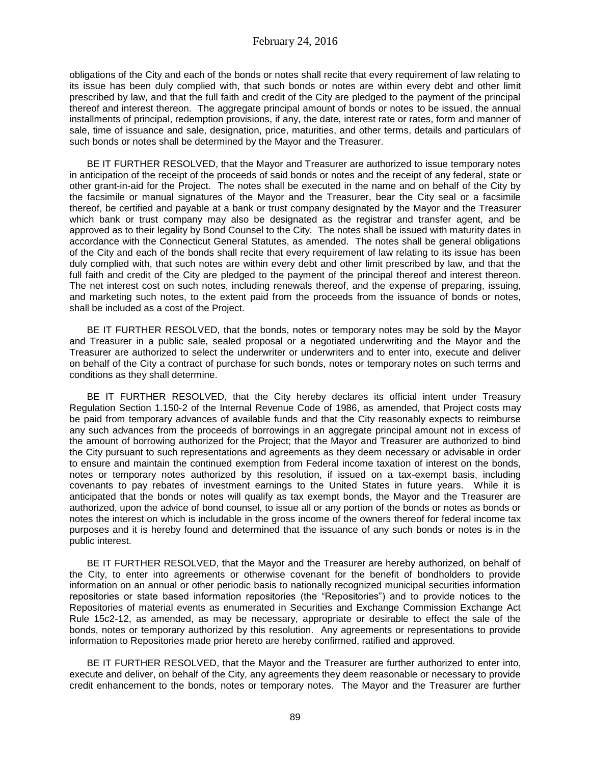obligations of the City and each of the bonds or notes shall recite that every requirement of law relating to its issue has been duly complied with, that such bonds or notes are within every debt and other limit prescribed by law, and that the full faith and credit of the City are pledged to the payment of the principal thereof and interest thereon. The aggregate principal amount of bonds or notes to be issued, the annual installments of principal, redemption provisions, if any, the date, interest rate or rates, form and manner of sale, time of issuance and sale, designation, price, maturities, and other terms, details and particulars of such bonds or notes shall be determined by the Mayor and the Treasurer.

BE IT FURTHER RESOLVED, that the Mayor and Treasurer are authorized to issue temporary notes in anticipation of the receipt of the proceeds of said bonds or notes and the receipt of any federal, state or other grant-in-aid for the Project. The notes shall be executed in the name and on behalf of the City by the facsimile or manual signatures of the Mayor and the Treasurer, bear the City seal or a facsimile thereof, be certified and payable at a bank or trust company designated by the Mayor and the Treasurer which bank or trust company may also be designated as the registrar and transfer agent, and be approved as to their legality by Bond Counsel to the City. The notes shall be issued with maturity dates in accordance with the Connecticut General Statutes, as amended. The notes shall be general obligations of the City and each of the bonds shall recite that every requirement of law relating to its issue has been duly complied with, that such notes are within every debt and other limit prescribed by law, and that the full faith and credit of the City are pledged to the payment of the principal thereof and interest thereon. The net interest cost on such notes, including renewals thereof, and the expense of preparing, issuing, and marketing such notes, to the extent paid from the proceeds from the issuance of bonds or notes, shall be included as a cost of the Project.

BE IT FURTHER RESOLVED, that the bonds, notes or temporary notes may be sold by the Mayor and Treasurer in a public sale, sealed proposal or a negotiated underwriting and the Mayor and the Treasurer are authorized to select the underwriter or underwriters and to enter into, execute and deliver on behalf of the City a contract of purchase for such bonds, notes or temporary notes on such terms and conditions as they shall determine.

BE IT FURTHER RESOLVED, that the City hereby declares its official intent under Treasury Regulation Section 1.150-2 of the Internal Revenue Code of 1986, as amended, that Project costs may be paid from temporary advances of available funds and that the City reasonably expects to reimburse any such advances from the proceeds of borrowings in an aggregate principal amount not in excess of the amount of borrowing authorized for the Project; that the Mayor and Treasurer are authorized to bind the City pursuant to such representations and agreements as they deem necessary or advisable in order to ensure and maintain the continued exemption from Federal income taxation of interest on the bonds, notes or temporary notes authorized by this resolution, if issued on a tax-exempt basis, including covenants to pay rebates of investment earnings to the United States in future years. While it is anticipated that the bonds or notes will qualify as tax exempt bonds, the Mayor and the Treasurer are authorized, upon the advice of bond counsel, to issue all or any portion of the bonds or notes as bonds or notes the interest on which is includable in the gross income of the owners thereof for federal income tax purposes and it is hereby found and determined that the issuance of any such bonds or notes is in the public interest.

BE IT FURTHER RESOLVED, that the Mayor and the Treasurer are hereby authorized, on behalf of the City, to enter into agreements or otherwise covenant for the benefit of bondholders to provide information on an annual or other periodic basis to nationally recognized municipal securities information repositories or state based information repositories (the "Repositories") and to provide notices to the Repositories of material events as enumerated in Securities and Exchange Commission Exchange Act Rule 15c2-12, as amended, as may be necessary, appropriate or desirable to effect the sale of the bonds, notes or temporary authorized by this resolution. Any agreements or representations to provide information to Repositories made prior hereto are hereby confirmed, ratified and approved.

BE IT FURTHER RESOLVED, that the Mayor and the Treasurer are further authorized to enter into, execute and deliver, on behalf of the City, any agreements they deem reasonable or necessary to provide credit enhancement to the bonds, notes or temporary notes. The Mayor and the Treasurer are further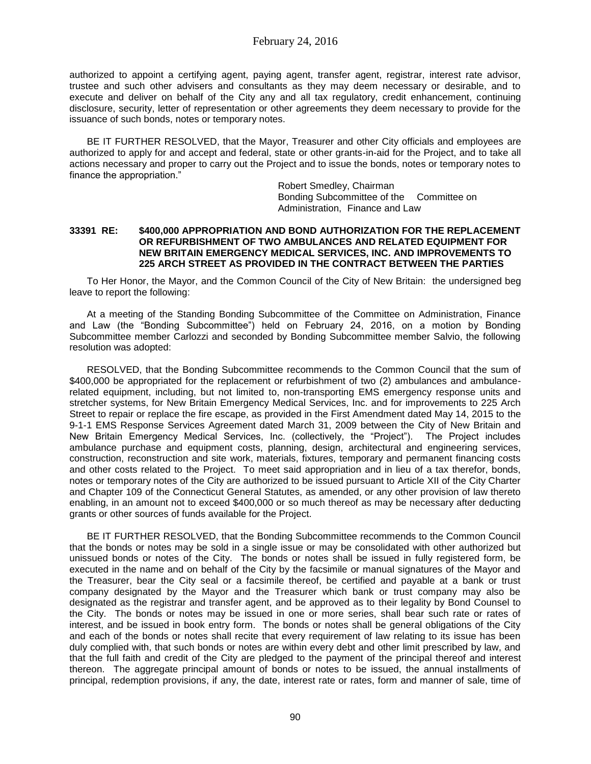authorized to appoint a certifying agent, paying agent, transfer agent, registrar, interest rate advisor, trustee and such other advisers and consultants as they may deem necessary or desirable, and to execute and deliver on behalf of the City any and all tax regulatory, credit enhancement, continuing disclosure, security, letter of representation or other agreements they deem necessary to provide for the issuance of such bonds, notes or temporary notes.

BE IT FURTHER RESOLVED, that the Mayor, Treasurer and other City officials and employees are authorized to apply for and accept and federal, state or other grants-in-aid for the Project, and to take all actions necessary and proper to carry out the Project and to issue the bonds, notes or temporary notes to finance the appropriation."

> Robert Smedley, Chairman Bonding Subcommittee of the Committee on Administration, Finance and Law

### **33391 RE: \$400,000 APPROPRIATION AND BOND AUTHORIZATION FOR THE REPLACEMENT OR REFURBISHMENT OF TWO AMBULANCES AND RELATED EQUIPMENT FOR NEW BRITAIN EMERGENCY MEDICAL SERVICES, INC. AND IMPROVEMENTS TO 225 ARCH STREET AS PROVIDED IN THE CONTRACT BETWEEN THE PARTIES**

To Her Honor, the Mayor, and the Common Council of the City of New Britain: the undersigned beg leave to report the following:

At a meeting of the Standing Bonding Subcommittee of the Committee on Administration, Finance and Law (the "Bonding Subcommittee") held on February 24, 2016, on a motion by Bonding Subcommittee member Carlozzi and seconded by Bonding Subcommittee member Salvio, the following resolution was adopted:

RESOLVED, that the Bonding Subcommittee recommends to the Common Council that the sum of \$400,000 be appropriated for the replacement or refurbishment of two (2) ambulances and ambulancerelated equipment, including, but not limited to, non-transporting EMS emergency response units and stretcher systems, for New Britain Emergency Medical Services, Inc. and for improvements to 225 Arch Street to repair or replace the fire escape, as provided in the First Amendment dated May 14, 2015 to the 9-1-1 EMS Response Services Agreement dated March 31, 2009 between the City of New Britain and New Britain Emergency Medical Services, Inc. (collectively, the "Project"). The Project includes ambulance purchase and equipment costs, planning, design, architectural and engineering services, construction, reconstruction and site work, materials, fixtures, temporary and permanent financing costs and other costs related to the Project. To meet said appropriation and in lieu of a tax therefor, bonds, notes or temporary notes of the City are authorized to be issued pursuant to Article XII of the City Charter and Chapter 109 of the Connecticut General Statutes, as amended, or any other provision of law thereto enabling, in an amount not to exceed \$400,000 or so much thereof as may be necessary after deducting grants or other sources of funds available for the Project.

BE IT FURTHER RESOLVED, that the Bonding Subcommittee recommends to the Common Council that the bonds or notes may be sold in a single issue or may be consolidated with other authorized but unissued bonds or notes of the City. The bonds or notes shall be issued in fully registered form, be executed in the name and on behalf of the City by the facsimile or manual signatures of the Mayor and the Treasurer, bear the City seal or a facsimile thereof, be certified and payable at a bank or trust company designated by the Mayor and the Treasurer which bank or trust company may also be designated as the registrar and transfer agent, and be approved as to their legality by Bond Counsel to the City. The bonds or notes may be issued in one or more series, shall bear such rate or rates of interest, and be issued in book entry form. The bonds or notes shall be general obligations of the City and each of the bonds or notes shall recite that every requirement of law relating to its issue has been duly complied with, that such bonds or notes are within every debt and other limit prescribed by law, and that the full faith and credit of the City are pledged to the payment of the principal thereof and interest thereon. The aggregate principal amount of bonds or notes to be issued, the annual installments of principal, redemption provisions, if any, the date, interest rate or rates, form and manner of sale, time of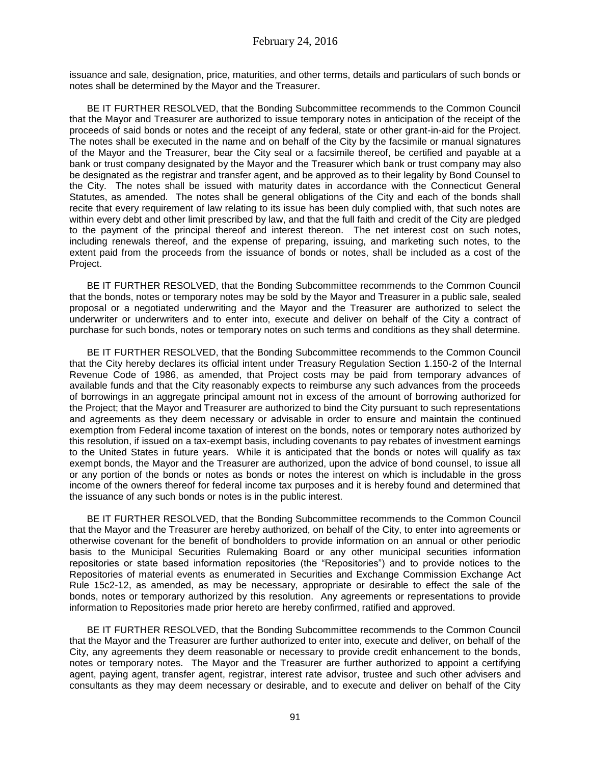issuance and sale, designation, price, maturities, and other terms, details and particulars of such bonds or notes shall be determined by the Mayor and the Treasurer.

BE IT FURTHER RESOLVED, that the Bonding Subcommittee recommends to the Common Council that the Mayor and Treasurer are authorized to issue temporary notes in anticipation of the receipt of the proceeds of said bonds or notes and the receipt of any federal, state or other grant-in-aid for the Project. The notes shall be executed in the name and on behalf of the City by the facsimile or manual signatures of the Mayor and the Treasurer, bear the City seal or a facsimile thereof, be certified and payable at a bank or trust company designated by the Mayor and the Treasurer which bank or trust company may also be designated as the registrar and transfer agent, and be approved as to their legality by Bond Counsel to the City. The notes shall be issued with maturity dates in accordance with the Connecticut General Statutes, as amended. The notes shall be general obligations of the City and each of the bonds shall recite that every requirement of law relating to its issue has been duly complied with, that such notes are within every debt and other limit prescribed by law, and that the full faith and credit of the City are pledged to the payment of the principal thereof and interest thereon. The net interest cost on such notes, including renewals thereof, and the expense of preparing, issuing, and marketing such notes, to the extent paid from the proceeds from the issuance of bonds or notes, shall be included as a cost of the Project.

BE IT FURTHER RESOLVED, that the Bonding Subcommittee recommends to the Common Council that the bonds, notes or temporary notes may be sold by the Mayor and Treasurer in a public sale, sealed proposal or a negotiated underwriting and the Mayor and the Treasurer are authorized to select the underwriter or underwriters and to enter into, execute and deliver on behalf of the City a contract of purchase for such bonds, notes or temporary notes on such terms and conditions as they shall determine.

BE IT FURTHER RESOLVED, that the Bonding Subcommittee recommends to the Common Council that the City hereby declares its official intent under Treasury Regulation Section 1.150-2 of the Internal Revenue Code of 1986, as amended, that Project costs may be paid from temporary advances of available funds and that the City reasonably expects to reimburse any such advances from the proceeds of borrowings in an aggregate principal amount not in excess of the amount of borrowing authorized for the Project; that the Mayor and Treasurer are authorized to bind the City pursuant to such representations and agreements as they deem necessary or advisable in order to ensure and maintain the continued exemption from Federal income taxation of interest on the bonds, notes or temporary notes authorized by this resolution, if issued on a tax-exempt basis, including covenants to pay rebates of investment earnings to the United States in future years. While it is anticipated that the bonds or notes will qualify as tax exempt bonds, the Mayor and the Treasurer are authorized, upon the advice of bond counsel, to issue all or any portion of the bonds or notes as bonds or notes the interest on which is includable in the gross income of the owners thereof for federal income tax purposes and it is hereby found and determined that the issuance of any such bonds or notes is in the public interest.

BE IT FURTHER RESOLVED, that the Bonding Subcommittee recommends to the Common Council that the Mayor and the Treasurer are hereby authorized, on behalf of the City, to enter into agreements or otherwise covenant for the benefit of bondholders to provide information on an annual or other periodic basis to the Municipal Securities Rulemaking Board or any other municipal securities information repositories or state based information repositories (the "Repositories") and to provide notices to the Repositories of material events as enumerated in Securities and Exchange Commission Exchange Act Rule 15c2-12, as amended, as may be necessary, appropriate or desirable to effect the sale of the bonds, notes or temporary authorized by this resolution. Any agreements or representations to provide information to Repositories made prior hereto are hereby confirmed, ratified and approved.

BE IT FURTHER RESOLVED, that the Bonding Subcommittee recommends to the Common Council that the Mayor and the Treasurer are further authorized to enter into, execute and deliver, on behalf of the City, any agreements they deem reasonable or necessary to provide credit enhancement to the bonds, notes or temporary notes. The Mayor and the Treasurer are further authorized to appoint a certifying agent, paying agent, transfer agent, registrar, interest rate advisor, trustee and such other advisers and consultants as they may deem necessary or desirable, and to execute and deliver on behalf of the City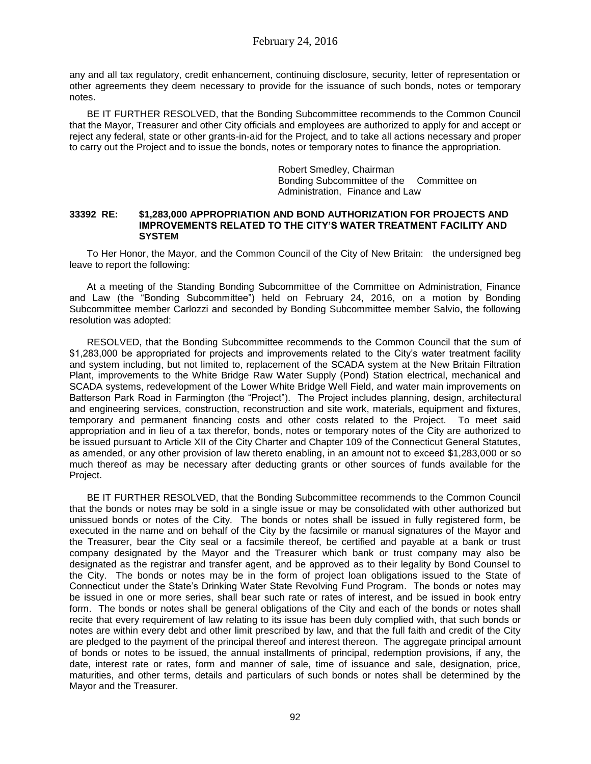any and all tax regulatory, credit enhancement, continuing disclosure, security, letter of representation or other agreements they deem necessary to provide for the issuance of such bonds, notes or temporary notes.

BE IT FURTHER RESOLVED, that the Bonding Subcommittee recommends to the Common Council that the Mayor, Treasurer and other City officials and employees are authorized to apply for and accept or reject any federal, state or other grants-in-aid for the Project, and to take all actions necessary and proper to carry out the Project and to issue the bonds, notes or temporary notes to finance the appropriation.

> Robert Smedley, Chairman Bonding Subcommittee of the Committee on Administration, Finance and Law

### **33392 RE: \$1,283,000 APPROPRIATION AND BOND AUTHORIZATION FOR PROJECTS AND IMPROVEMENTS RELATED TO THE CITY'S WATER TREATMENT FACILITY AND SYSTEM**

To Her Honor, the Mayor, and the Common Council of the City of New Britain: the undersigned beg leave to report the following:

At a meeting of the Standing Bonding Subcommittee of the Committee on Administration, Finance and Law (the "Bonding Subcommittee") held on February 24, 2016, on a motion by Bonding Subcommittee member Carlozzi and seconded by Bonding Subcommittee member Salvio, the following resolution was adopted:

RESOLVED, that the Bonding Subcommittee recommends to the Common Council that the sum of \$1,283,000 be appropriated for projects and improvements related to the City's water treatment facility and system including, but not limited to, replacement of the SCADA system at the New Britain Filtration Plant, improvements to the White Bridge Raw Water Supply (Pond) Station electrical, mechanical and SCADA systems, redevelopment of the Lower White Bridge Well Field, and water main improvements on Batterson Park Road in Farmington (the "Project"). The Project includes planning, design, architectural and engineering services, construction, reconstruction and site work, materials, equipment and fixtures, temporary and permanent financing costs and other costs related to the Project. To meet said appropriation and in lieu of a tax therefor, bonds, notes or temporary notes of the City are authorized to be issued pursuant to Article XII of the City Charter and Chapter 109 of the Connecticut General Statutes, as amended, or any other provision of law thereto enabling, in an amount not to exceed \$1,283,000 or so much thereof as may be necessary after deducting grants or other sources of funds available for the Project.

BE IT FURTHER RESOLVED, that the Bonding Subcommittee recommends to the Common Council that the bonds or notes may be sold in a single issue or may be consolidated with other authorized but unissued bonds or notes of the City. The bonds or notes shall be issued in fully registered form, be executed in the name and on behalf of the City by the facsimile or manual signatures of the Mayor and the Treasurer, bear the City seal or a facsimile thereof, be certified and payable at a bank or trust company designated by the Mayor and the Treasurer which bank or trust company may also be designated as the registrar and transfer agent, and be approved as to their legality by Bond Counsel to the City. The bonds or notes may be in the form of project loan obligations issued to the State of Connecticut under the State's Drinking Water State Revolving Fund Program. The bonds or notes may be issued in one or more series, shall bear such rate or rates of interest, and be issued in book entry form. The bonds or notes shall be general obligations of the City and each of the bonds or notes shall recite that every requirement of law relating to its issue has been duly complied with, that such bonds or notes are within every debt and other limit prescribed by law, and that the full faith and credit of the City are pledged to the payment of the principal thereof and interest thereon. The aggregate principal amount of bonds or notes to be issued, the annual installments of principal, redemption provisions, if any, the date, interest rate or rates, form and manner of sale, time of issuance and sale, designation, price, maturities, and other terms, details and particulars of such bonds or notes shall be determined by the Mayor and the Treasurer.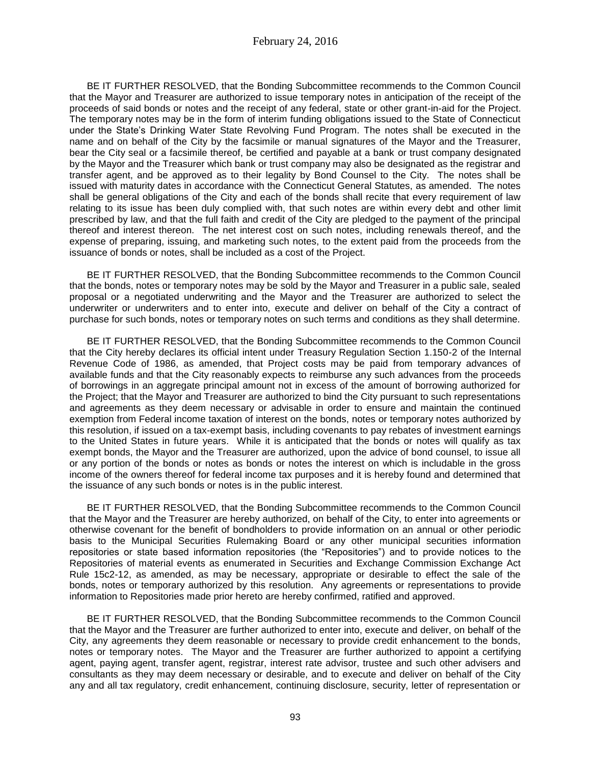BE IT FURTHER RESOLVED, that the Bonding Subcommittee recommends to the Common Council that the Mayor and Treasurer are authorized to issue temporary notes in anticipation of the receipt of the proceeds of said bonds or notes and the receipt of any federal, state or other grant-in-aid for the Project. The temporary notes may be in the form of interim funding obligations issued to the State of Connecticut under the State's Drinking Water State Revolving Fund Program. The notes shall be executed in the name and on behalf of the City by the facsimile or manual signatures of the Mayor and the Treasurer, bear the City seal or a facsimile thereof, be certified and payable at a bank or trust company designated by the Mayor and the Treasurer which bank or trust company may also be designated as the registrar and transfer agent, and be approved as to their legality by Bond Counsel to the City. The notes shall be issued with maturity dates in accordance with the Connecticut General Statutes, as amended. The notes shall be general obligations of the City and each of the bonds shall recite that every requirement of law relating to its issue has been duly complied with, that such notes are within every debt and other limit prescribed by law, and that the full faith and credit of the City are pledged to the payment of the principal thereof and interest thereon. The net interest cost on such notes, including renewals thereof, and the expense of preparing, issuing, and marketing such notes, to the extent paid from the proceeds from the issuance of bonds or notes, shall be included as a cost of the Project.

BE IT FURTHER RESOLVED, that the Bonding Subcommittee recommends to the Common Council that the bonds, notes or temporary notes may be sold by the Mayor and Treasurer in a public sale, sealed proposal or a negotiated underwriting and the Mayor and the Treasurer are authorized to select the underwriter or underwriters and to enter into, execute and deliver on behalf of the City a contract of purchase for such bonds, notes or temporary notes on such terms and conditions as they shall determine.

BE IT FURTHER RESOLVED, that the Bonding Subcommittee recommends to the Common Council that the City hereby declares its official intent under Treasury Regulation Section 1.150-2 of the Internal Revenue Code of 1986, as amended, that Project costs may be paid from temporary advances of available funds and that the City reasonably expects to reimburse any such advances from the proceeds of borrowings in an aggregate principal amount not in excess of the amount of borrowing authorized for the Project; that the Mayor and Treasurer are authorized to bind the City pursuant to such representations and agreements as they deem necessary or advisable in order to ensure and maintain the continued exemption from Federal income taxation of interest on the bonds, notes or temporary notes authorized by this resolution, if issued on a tax-exempt basis, including covenants to pay rebates of investment earnings to the United States in future years. While it is anticipated that the bonds or notes will qualify as tax exempt bonds, the Mayor and the Treasurer are authorized, upon the advice of bond counsel, to issue all or any portion of the bonds or notes as bonds or notes the interest on which is includable in the gross income of the owners thereof for federal income tax purposes and it is hereby found and determined that the issuance of any such bonds or notes is in the public interest.

BE IT FURTHER RESOLVED, that the Bonding Subcommittee recommends to the Common Council that the Mayor and the Treasurer are hereby authorized, on behalf of the City, to enter into agreements or otherwise covenant for the benefit of bondholders to provide information on an annual or other periodic basis to the Municipal Securities Rulemaking Board or any other municipal securities information repositories or state based information repositories (the "Repositories") and to provide notices to the Repositories of material events as enumerated in Securities and Exchange Commission Exchange Act Rule 15c2-12, as amended, as may be necessary, appropriate or desirable to effect the sale of the bonds, notes or temporary authorized by this resolution. Any agreements or representations to provide information to Repositories made prior hereto are hereby confirmed, ratified and approved.

BE IT FURTHER RESOLVED, that the Bonding Subcommittee recommends to the Common Council that the Mayor and the Treasurer are further authorized to enter into, execute and deliver, on behalf of the City, any agreements they deem reasonable or necessary to provide credit enhancement to the bonds, notes or temporary notes. The Mayor and the Treasurer are further authorized to appoint a certifying agent, paying agent, transfer agent, registrar, interest rate advisor, trustee and such other advisers and consultants as they may deem necessary or desirable, and to execute and deliver on behalf of the City any and all tax regulatory, credit enhancement, continuing disclosure, security, letter of representation or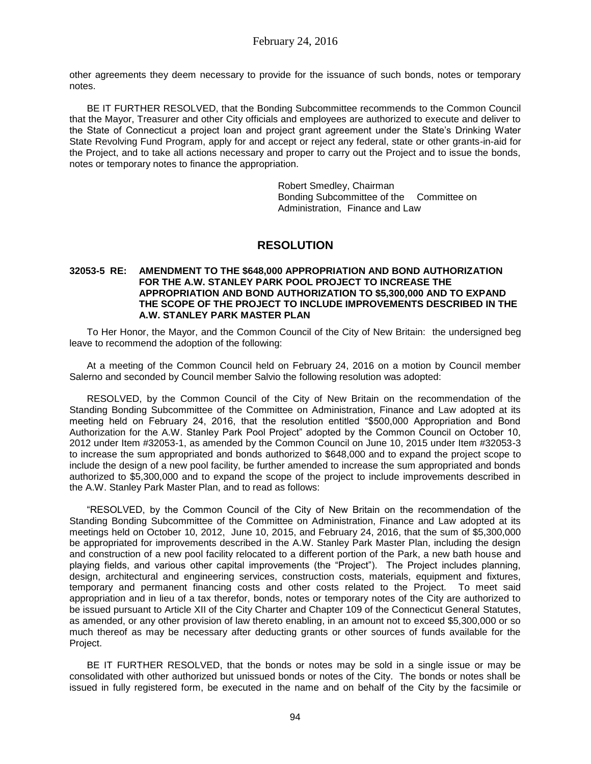other agreements they deem necessary to provide for the issuance of such bonds, notes or temporary notes.

BE IT FURTHER RESOLVED, that the Bonding Subcommittee recommends to the Common Council that the Mayor, Treasurer and other City officials and employees are authorized to execute and deliver to the State of Connecticut a project loan and project grant agreement under the State's Drinking Water State Revolving Fund Program, apply for and accept or reject any federal, state or other grants-in-aid for the Project, and to take all actions necessary and proper to carry out the Project and to issue the bonds, notes or temporary notes to finance the appropriation.

> Robert Smedley, Chairman Bonding Subcommittee of the Committee on Administration, Finance and Law

# **RESOLUTION**

# **32053-5 RE: AMENDMENT TO THE \$648,000 APPROPRIATION AND BOND AUTHORIZATION FOR THE A.W. STANLEY PARK POOL PROJECT TO INCREASE THE APPROPRIATION AND BOND AUTHORIZATION TO \$5,300,000 AND TO EXPAND THE SCOPE OF THE PROJECT TO INCLUDE IMPROVEMENTS DESCRIBED IN THE A.W. STANLEY PARK MASTER PLAN**

To Her Honor, the Mayor, and the Common Council of the City of New Britain: the undersigned beg leave to recommend the adoption of the following:

At a meeting of the Common Council held on February 24, 2016 on a motion by Council member Salerno and seconded by Council member Salvio the following resolution was adopted:

RESOLVED, by the Common Council of the City of New Britain on the recommendation of the Standing Bonding Subcommittee of the Committee on Administration, Finance and Law adopted at its meeting held on February 24, 2016, that the resolution entitled "\$500,000 Appropriation and Bond Authorization for the A.W. Stanley Park Pool Project" adopted by the Common Council on October 10, 2012 under Item #32053-1, as amended by the Common Council on June 10, 2015 under Item #32053-3 to increase the sum appropriated and bonds authorized to \$648,000 and to expand the project scope to include the design of a new pool facility, be further amended to increase the sum appropriated and bonds authorized to \$5,300,000 and to expand the scope of the project to include improvements described in the A.W. Stanley Park Master Plan, and to read as follows:

"RESOLVED, by the Common Council of the City of New Britain on the recommendation of the Standing Bonding Subcommittee of the Committee on Administration, Finance and Law adopted at its meetings held on October 10, 2012, June 10, 2015, and February 24, 2016, that the sum of \$5,300,000 be appropriated for improvements described in the A.W. Stanley Park Master Plan, including the design and construction of a new pool facility relocated to a different portion of the Park, a new bath house and playing fields, and various other capital improvements (the "Project"). The Project includes planning, design, architectural and engineering services, construction costs, materials, equipment and fixtures, temporary and permanent financing costs and other costs related to the Project. To meet said appropriation and in lieu of a tax therefor, bonds, notes or temporary notes of the City are authorized to be issued pursuant to Article XII of the City Charter and Chapter 109 of the Connecticut General Statutes, as amended, or any other provision of law thereto enabling, in an amount not to exceed \$5,300,000 or so much thereof as may be necessary after deducting grants or other sources of funds available for the Project.

BE IT FURTHER RESOLVED, that the bonds or notes may be sold in a single issue or may be consolidated with other authorized but unissued bonds or notes of the City. The bonds or notes shall be issued in fully registered form, be executed in the name and on behalf of the City by the facsimile or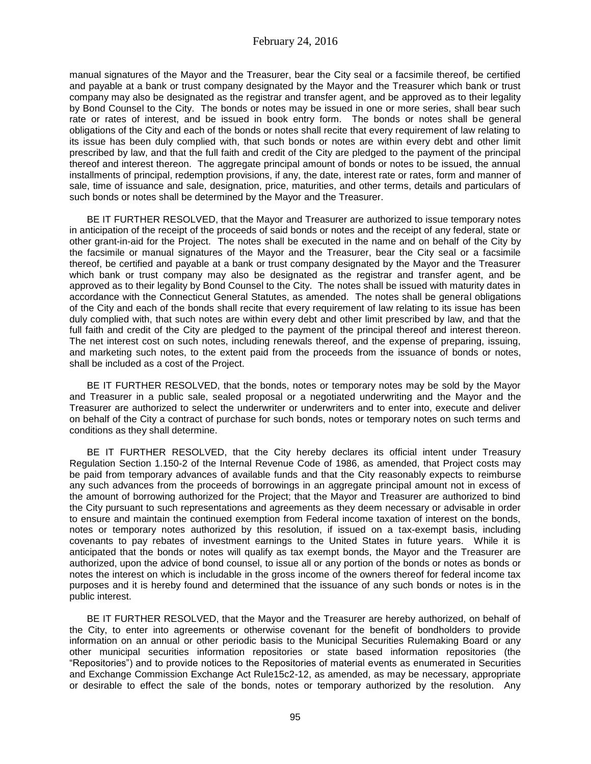manual signatures of the Mayor and the Treasurer, bear the City seal or a facsimile thereof, be certified and payable at a bank or trust company designated by the Mayor and the Treasurer which bank or trust company may also be designated as the registrar and transfer agent, and be approved as to their legality by Bond Counsel to the City. The bonds or notes may be issued in one or more series, shall bear such rate or rates of interest, and be issued in book entry form. The bonds or notes shall be general obligations of the City and each of the bonds or notes shall recite that every requirement of law relating to its issue has been duly complied with, that such bonds or notes are within every debt and other limit prescribed by law, and that the full faith and credit of the City are pledged to the payment of the principal thereof and interest thereon. The aggregate principal amount of bonds or notes to be issued, the annual installments of principal, redemption provisions, if any, the date, interest rate or rates, form and manner of sale, time of issuance and sale, designation, price, maturities, and other terms, details and particulars of such bonds or notes shall be determined by the Mayor and the Treasurer.

BE IT FURTHER RESOLVED, that the Mayor and Treasurer are authorized to issue temporary notes in anticipation of the receipt of the proceeds of said bonds or notes and the receipt of any federal, state or other grant-in-aid for the Project. The notes shall be executed in the name and on behalf of the City by the facsimile or manual signatures of the Mayor and the Treasurer, bear the City seal or a facsimile thereof, be certified and payable at a bank or trust company designated by the Mayor and the Treasurer which bank or trust company may also be designated as the registrar and transfer agent, and be approved as to their legality by Bond Counsel to the City. The notes shall be issued with maturity dates in accordance with the Connecticut General Statutes, as amended. The notes shall be general obligations of the City and each of the bonds shall recite that every requirement of law relating to its issue has been duly complied with, that such notes are within every debt and other limit prescribed by law, and that the full faith and credit of the City are pledged to the payment of the principal thereof and interest thereon. The net interest cost on such notes, including renewals thereof, and the expense of preparing, issuing, and marketing such notes, to the extent paid from the proceeds from the issuance of bonds or notes, shall be included as a cost of the Project.

BE IT FURTHER RESOLVED, that the bonds, notes or temporary notes may be sold by the Mayor and Treasurer in a public sale, sealed proposal or a negotiated underwriting and the Mayor and the Treasurer are authorized to select the underwriter or underwriters and to enter into, execute and deliver on behalf of the City a contract of purchase for such bonds, notes or temporary notes on such terms and conditions as they shall determine.

BE IT FURTHER RESOLVED, that the City hereby declares its official intent under Treasury Regulation Section 1.150-2 of the Internal Revenue Code of 1986, as amended, that Project costs may be paid from temporary advances of available funds and that the City reasonably expects to reimburse any such advances from the proceeds of borrowings in an aggregate principal amount not in excess of the amount of borrowing authorized for the Project; that the Mayor and Treasurer are authorized to bind the City pursuant to such representations and agreements as they deem necessary or advisable in order to ensure and maintain the continued exemption from Federal income taxation of interest on the bonds, notes or temporary notes authorized by this resolution, if issued on a tax-exempt basis, including covenants to pay rebates of investment earnings to the United States in future years. While it is anticipated that the bonds or notes will qualify as tax exempt bonds, the Mayor and the Treasurer are authorized, upon the advice of bond counsel, to issue all or any portion of the bonds or notes as bonds or notes the interest on which is includable in the gross income of the owners thereof for federal income tax purposes and it is hereby found and determined that the issuance of any such bonds or notes is in the public interest.

BE IT FURTHER RESOLVED, that the Mayor and the Treasurer are hereby authorized, on behalf of the City, to enter into agreements or otherwise covenant for the benefit of bondholders to provide information on an annual or other periodic basis to the Municipal Securities Rulemaking Board or any other municipal securities information repositories or state based information repositories (the "Repositories") and to provide notices to the Repositories of material events as enumerated in Securities and Exchange Commission Exchange Act Rule15c2-12, as amended, as may be necessary, appropriate or desirable to effect the sale of the bonds, notes or temporary authorized by the resolution. Any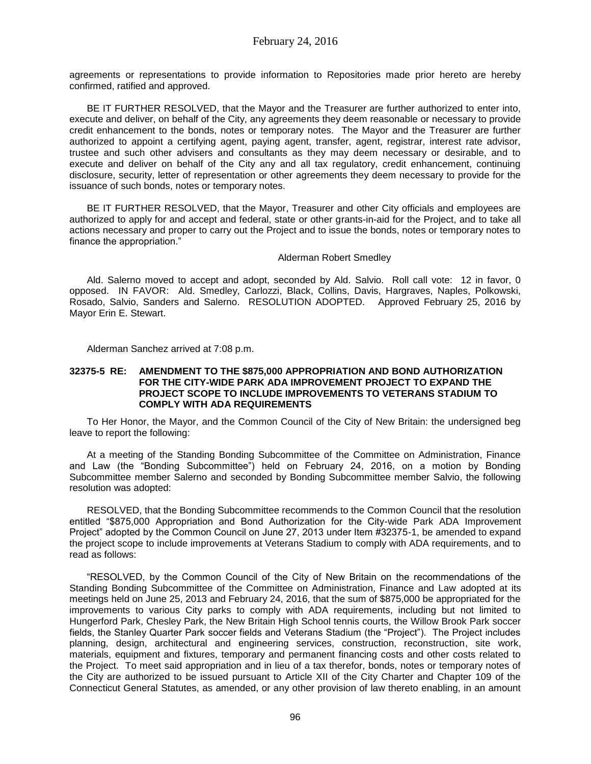agreements or representations to provide information to Repositories made prior hereto are hereby confirmed, ratified and approved.

BE IT FURTHER RESOLVED, that the Mayor and the Treasurer are further authorized to enter into, execute and deliver, on behalf of the City, any agreements they deem reasonable or necessary to provide credit enhancement to the bonds, notes or temporary notes. The Mayor and the Treasurer are further authorized to appoint a certifying agent, paying agent, transfer, agent, registrar, interest rate advisor, trustee and such other advisers and consultants as they may deem necessary or desirable, and to execute and deliver on behalf of the City any and all tax regulatory, credit enhancement, continuing disclosure, security, letter of representation or other agreements they deem necessary to provide for the issuance of such bonds, notes or temporary notes.

BE IT FURTHER RESOLVED, that the Mayor, Treasurer and other City officials and employees are authorized to apply for and accept and federal, state or other grants-in-aid for the Project, and to take all actions necessary and proper to carry out the Project and to issue the bonds, notes or temporary notes to finance the appropriation."

# Alderman Robert Smedley

Ald. Salerno moved to accept and adopt, seconded by Ald. Salvio. Roll call vote: 12 in favor, 0 opposed. IN FAVOR: Ald. Smedley, Carlozzi, Black, Collins, Davis, Hargraves, Naples, Polkowski, Rosado, Salvio, Sanders and Salerno. RESOLUTION ADOPTED. Approved February 25, 2016 by Mayor Erin E. Stewart.

Alderman Sanchez arrived at 7:08 p.m.

## **32375-5 RE: AMENDMENT TO THE \$875,000 APPROPRIATION AND BOND AUTHORIZATION FOR THE CITY-WIDE PARK ADA IMPROVEMENT PROJECT TO EXPAND THE PROJECT SCOPE TO INCLUDE IMPROVEMENTS TO VETERANS STADIUM TO COMPLY WITH ADA REQUIREMENTS**

To Her Honor, the Mayor, and the Common Council of the City of New Britain: the undersigned beg leave to report the following:

At a meeting of the Standing Bonding Subcommittee of the Committee on Administration, Finance and Law (the "Bonding Subcommittee") held on February 24, 2016, on a motion by Bonding Subcommittee member Salerno and seconded by Bonding Subcommittee member Salvio, the following resolution was adopted:

RESOLVED, that the Bonding Subcommittee recommends to the Common Council that the resolution entitled "\$875,000 Appropriation and Bond Authorization for the City-wide Park ADA Improvement Project" adopted by the Common Council on June 27, 2013 under Item #32375-1, be amended to expand the project scope to include improvements at Veterans Stadium to comply with ADA requirements, and to read as follows:

"RESOLVED, by the Common Council of the City of New Britain on the recommendations of the Standing Bonding Subcommittee of the Committee on Administration, Finance and Law adopted at its meetings held on June 25, 2013 and February 24, 2016, that the sum of \$875,000 be appropriated for the improvements to various City parks to comply with ADA requirements, including but not limited to Hungerford Park, Chesley Park, the New Britain High School tennis courts, the Willow Brook Park soccer fields, the Stanley Quarter Park soccer fields and Veterans Stadium (the "Project"). The Project includes planning, design, architectural and engineering services, construction, reconstruction, site work, materials, equipment and fixtures, temporary and permanent financing costs and other costs related to the Project. To meet said appropriation and in lieu of a tax therefor, bonds, notes or temporary notes of the City are authorized to be issued pursuant to Article XII of the City Charter and Chapter 109 of the Connecticut General Statutes, as amended, or any other provision of law thereto enabling, in an amount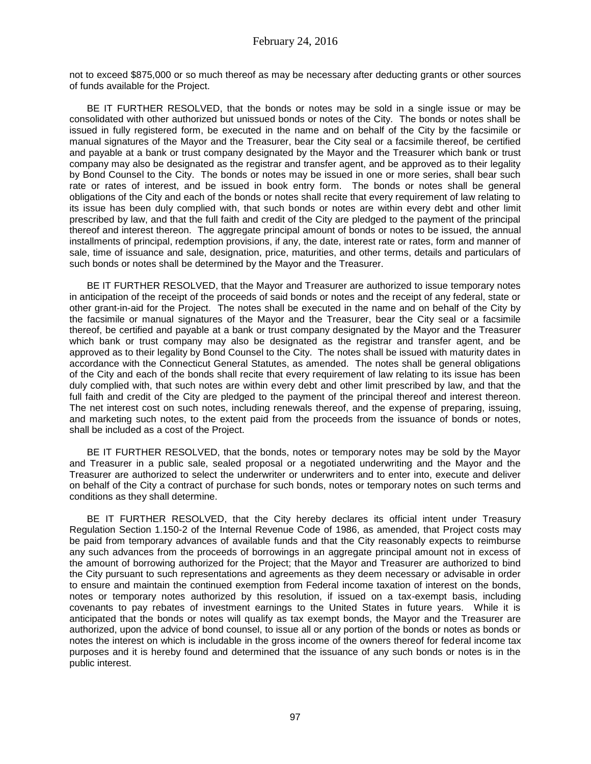not to exceed \$875,000 or so much thereof as may be necessary after deducting grants or other sources of funds available for the Project.

BE IT FURTHER RESOLVED, that the bonds or notes may be sold in a single issue or may be consolidated with other authorized but unissued bonds or notes of the City. The bonds or notes shall be issued in fully registered form, be executed in the name and on behalf of the City by the facsimile or manual signatures of the Mayor and the Treasurer, bear the City seal or a facsimile thereof, be certified and payable at a bank or trust company designated by the Mayor and the Treasurer which bank or trust company may also be designated as the registrar and transfer agent, and be approved as to their legality by Bond Counsel to the City. The bonds or notes may be issued in one or more series, shall bear such rate or rates of interest, and be issued in book entry form. The bonds or notes shall be general obligations of the City and each of the bonds or notes shall recite that every requirement of law relating to its issue has been duly complied with, that such bonds or notes are within every debt and other limit prescribed by law, and that the full faith and credit of the City are pledged to the payment of the principal thereof and interest thereon. The aggregate principal amount of bonds or notes to be issued, the annual installments of principal, redemption provisions, if any, the date, interest rate or rates, form and manner of sale, time of issuance and sale, designation, price, maturities, and other terms, details and particulars of such bonds or notes shall be determined by the Mayor and the Treasurer.

BE IT FURTHER RESOLVED, that the Mayor and Treasurer are authorized to issue temporary notes in anticipation of the receipt of the proceeds of said bonds or notes and the receipt of any federal, state or other grant-in-aid for the Project. The notes shall be executed in the name and on behalf of the City by the facsimile or manual signatures of the Mayor and the Treasurer, bear the City seal or a facsimile thereof, be certified and payable at a bank or trust company designated by the Mayor and the Treasurer which bank or trust company may also be designated as the registrar and transfer agent, and be approved as to their legality by Bond Counsel to the City. The notes shall be issued with maturity dates in accordance with the Connecticut General Statutes, as amended. The notes shall be general obligations of the City and each of the bonds shall recite that every requirement of law relating to its issue has been duly complied with, that such notes are within every debt and other limit prescribed by law, and that the full faith and credit of the City are pledged to the payment of the principal thereof and interest thereon. The net interest cost on such notes, including renewals thereof, and the expense of preparing, issuing, and marketing such notes, to the extent paid from the proceeds from the issuance of bonds or notes, shall be included as a cost of the Project.

BE IT FURTHER RESOLVED, that the bonds, notes or temporary notes may be sold by the Mayor and Treasurer in a public sale, sealed proposal or a negotiated underwriting and the Mayor and the Treasurer are authorized to select the underwriter or underwriters and to enter into, execute and deliver on behalf of the City a contract of purchase for such bonds, notes or temporary notes on such terms and conditions as they shall determine.

BE IT FURTHER RESOLVED, that the City hereby declares its official intent under Treasury Regulation Section 1.150-2 of the Internal Revenue Code of 1986, as amended, that Project costs may be paid from temporary advances of available funds and that the City reasonably expects to reimburse any such advances from the proceeds of borrowings in an aggregate principal amount not in excess of the amount of borrowing authorized for the Project; that the Mayor and Treasurer are authorized to bind the City pursuant to such representations and agreements as they deem necessary or advisable in order to ensure and maintain the continued exemption from Federal income taxation of interest on the bonds, notes or temporary notes authorized by this resolution, if issued on a tax-exempt basis, including covenants to pay rebates of investment earnings to the United States in future years. While it is anticipated that the bonds or notes will qualify as tax exempt bonds, the Mayor and the Treasurer are authorized, upon the advice of bond counsel, to issue all or any portion of the bonds or notes as bonds or notes the interest on which is includable in the gross income of the owners thereof for federal income tax purposes and it is hereby found and determined that the issuance of any such bonds or notes is in the public interest.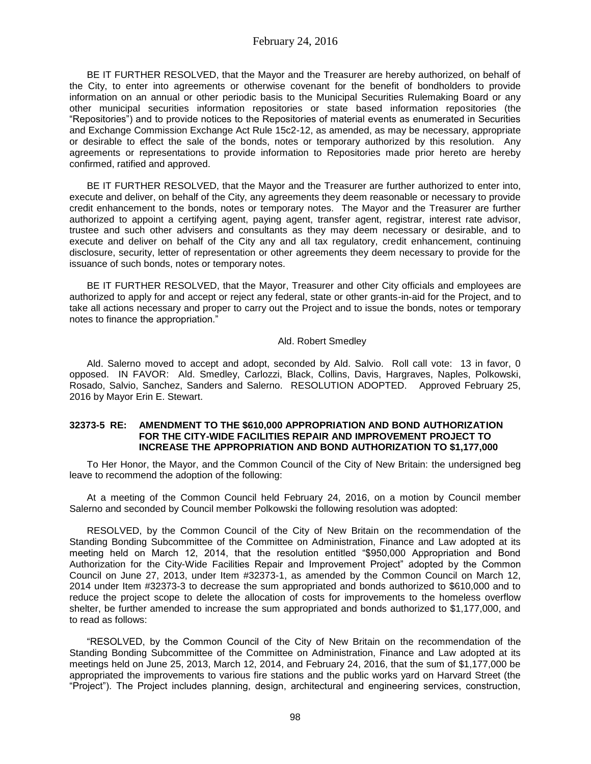BE IT FURTHER RESOLVED, that the Mayor and the Treasurer are hereby authorized, on behalf of the City, to enter into agreements or otherwise covenant for the benefit of bondholders to provide information on an annual or other periodic basis to the Municipal Securities Rulemaking Board or any other municipal securities information repositories or state based information repositories (the "Repositories") and to provide notices to the Repositories of material events as enumerated in Securities and Exchange Commission Exchange Act Rule 15c2-12, as amended, as may be necessary, appropriate or desirable to effect the sale of the bonds, notes or temporary authorized by this resolution. Any agreements or representations to provide information to Repositories made prior hereto are hereby confirmed, ratified and approved.

BE IT FURTHER RESOLVED, that the Mayor and the Treasurer are further authorized to enter into, execute and deliver, on behalf of the City, any agreements they deem reasonable or necessary to provide credit enhancement to the bonds, notes or temporary notes. The Mayor and the Treasurer are further authorized to appoint a certifying agent, paying agent, transfer agent, registrar, interest rate advisor, trustee and such other advisers and consultants as they may deem necessary or desirable, and to execute and deliver on behalf of the City any and all tax regulatory, credit enhancement, continuing disclosure, security, letter of representation or other agreements they deem necessary to provide for the issuance of such bonds, notes or temporary notes.

BE IT FURTHER RESOLVED, that the Mayor, Treasurer and other City officials and employees are authorized to apply for and accept or reject any federal, state or other grants-in-aid for the Project, and to take all actions necessary and proper to carry out the Project and to issue the bonds, notes or temporary notes to finance the appropriation."

### Ald. Robert Smedley

Ald. Salerno moved to accept and adopt, seconded by Ald. Salvio. Roll call vote: 13 in favor, 0 opposed. IN FAVOR: Ald. Smedley, Carlozzi, Black, Collins, Davis, Hargraves, Naples, Polkowski, Rosado, Salvio, Sanchez, Sanders and Salerno. RESOLUTION ADOPTED. Approved February 25, 2016 by Mayor Erin E. Stewart.

## **32373-5 RE: AMENDMENT TO THE \$610,000 APPROPRIATION AND BOND AUTHORIZATION FOR THE CITY-WIDE FACILITIES REPAIR AND IMPROVEMENT PROJECT TO INCREASE THE APPROPRIATION AND BOND AUTHORIZATION TO \$1,177,000**

To Her Honor, the Mayor, and the Common Council of the City of New Britain: the undersigned beg leave to recommend the adoption of the following:

At a meeting of the Common Council held February 24, 2016, on a motion by Council member Salerno and seconded by Council member Polkowski the following resolution was adopted:

RESOLVED, by the Common Council of the City of New Britain on the recommendation of the Standing Bonding Subcommittee of the Committee on Administration, Finance and Law adopted at its meeting held on March 12, 2014, that the resolution entitled "\$950,000 Appropriation and Bond Authorization for the City-Wide Facilities Repair and Improvement Project" adopted by the Common Council on June 27, 2013, under Item #32373-1, as amended by the Common Council on March 12, 2014 under Item #32373-3 to decrease the sum appropriated and bonds authorized to \$610,000 and to reduce the project scope to delete the allocation of costs for improvements to the homeless overflow shelter, be further amended to increase the sum appropriated and bonds authorized to \$1,177,000, and to read as follows:

"RESOLVED, by the Common Council of the City of New Britain on the recommendation of the Standing Bonding Subcommittee of the Committee on Administration, Finance and Law adopted at its meetings held on June 25, 2013, March 12, 2014, and February 24, 2016, that the sum of \$1,177,000 be appropriated the improvements to various fire stations and the public works yard on Harvard Street (the "Project"). The Project includes planning, design, architectural and engineering services, construction,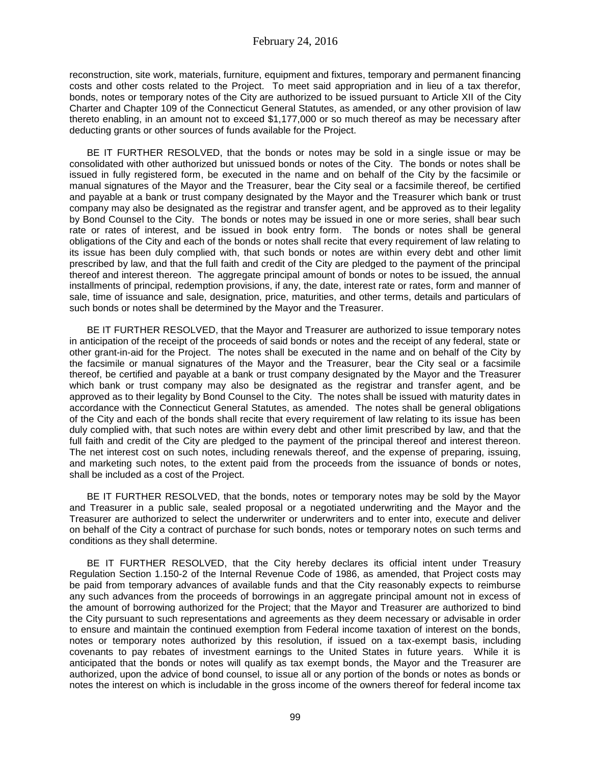reconstruction, site work, materials, furniture, equipment and fixtures, temporary and permanent financing costs and other costs related to the Project. To meet said appropriation and in lieu of a tax therefor, bonds, notes or temporary notes of the City are authorized to be issued pursuant to Article XII of the City Charter and Chapter 109 of the Connecticut General Statutes, as amended, or any other provision of law thereto enabling, in an amount not to exceed \$1,177,000 or so much thereof as may be necessary after deducting grants or other sources of funds available for the Project.

BE IT FURTHER RESOLVED, that the bonds or notes may be sold in a single issue or may be consolidated with other authorized but unissued bonds or notes of the City. The bonds or notes shall be issued in fully registered form, be executed in the name and on behalf of the City by the facsimile or manual signatures of the Mayor and the Treasurer, bear the City seal or a facsimile thereof, be certified and payable at a bank or trust company designated by the Mayor and the Treasurer which bank or trust company may also be designated as the registrar and transfer agent, and be approved as to their legality by Bond Counsel to the City. The bonds or notes may be issued in one or more series, shall bear such rate or rates of interest, and be issued in book entry form. The bonds or notes shall be general obligations of the City and each of the bonds or notes shall recite that every requirement of law relating to its issue has been duly complied with, that such bonds or notes are within every debt and other limit prescribed by law, and that the full faith and credit of the City are pledged to the payment of the principal thereof and interest thereon. The aggregate principal amount of bonds or notes to be issued, the annual installments of principal, redemption provisions, if any, the date, interest rate or rates, form and manner of sale, time of issuance and sale, designation, price, maturities, and other terms, details and particulars of such bonds or notes shall be determined by the Mayor and the Treasurer.

BE IT FURTHER RESOLVED, that the Mayor and Treasurer are authorized to issue temporary notes in anticipation of the receipt of the proceeds of said bonds or notes and the receipt of any federal, state or other grant-in-aid for the Project. The notes shall be executed in the name and on behalf of the City by the facsimile or manual signatures of the Mayor and the Treasurer, bear the City seal or a facsimile thereof, be certified and payable at a bank or trust company designated by the Mayor and the Treasurer which bank or trust company may also be designated as the registrar and transfer agent, and be approved as to their legality by Bond Counsel to the City. The notes shall be issued with maturity dates in accordance with the Connecticut General Statutes, as amended. The notes shall be general obligations of the City and each of the bonds shall recite that every requirement of law relating to its issue has been duly complied with, that such notes are within every debt and other limit prescribed by law, and that the full faith and credit of the City are pledged to the payment of the principal thereof and interest thereon. The net interest cost on such notes, including renewals thereof, and the expense of preparing, issuing, and marketing such notes, to the extent paid from the proceeds from the issuance of bonds or notes, shall be included as a cost of the Project.

BE IT FURTHER RESOLVED, that the bonds, notes or temporary notes may be sold by the Mayor and Treasurer in a public sale, sealed proposal or a negotiated underwriting and the Mayor and the Treasurer are authorized to select the underwriter or underwriters and to enter into, execute and deliver on behalf of the City a contract of purchase for such bonds, notes or temporary notes on such terms and conditions as they shall determine.

BE IT FURTHER RESOLVED, that the City hereby declares its official intent under Treasury Regulation Section 1.150-2 of the Internal Revenue Code of 1986, as amended, that Project costs may be paid from temporary advances of available funds and that the City reasonably expects to reimburse any such advances from the proceeds of borrowings in an aggregate principal amount not in excess of the amount of borrowing authorized for the Project; that the Mayor and Treasurer are authorized to bind the City pursuant to such representations and agreements as they deem necessary or advisable in order to ensure and maintain the continued exemption from Federal income taxation of interest on the bonds, notes or temporary notes authorized by this resolution, if issued on a tax-exempt basis, including covenants to pay rebates of investment earnings to the United States in future years. While it is anticipated that the bonds or notes will qualify as tax exempt bonds, the Mayor and the Treasurer are authorized, upon the advice of bond counsel, to issue all or any portion of the bonds or notes as bonds or notes the interest on which is includable in the gross income of the owners thereof for federal income tax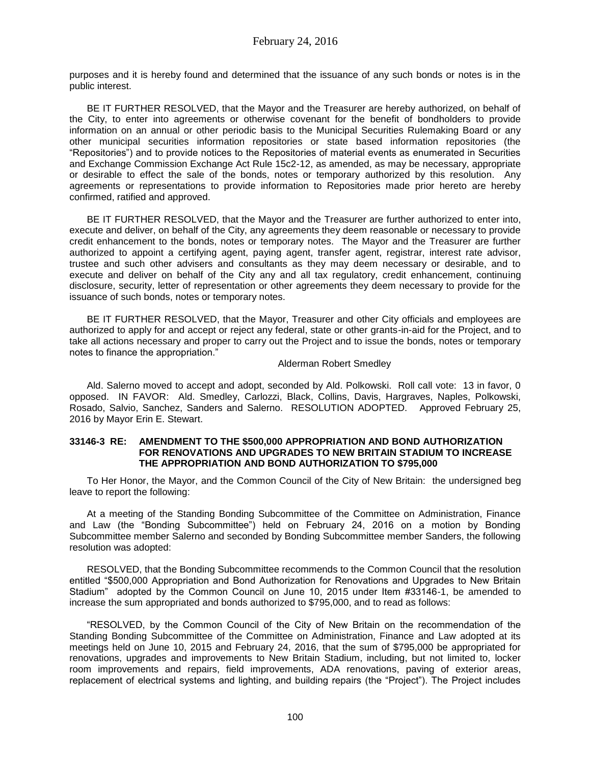purposes and it is hereby found and determined that the issuance of any such bonds or notes is in the public interest.

BE IT FURTHER RESOLVED, that the Mayor and the Treasurer are hereby authorized, on behalf of the City, to enter into agreements or otherwise covenant for the benefit of bondholders to provide information on an annual or other periodic basis to the Municipal Securities Rulemaking Board or any other municipal securities information repositories or state based information repositories (the "Repositories") and to provide notices to the Repositories of material events as enumerated in Securities and Exchange Commission Exchange Act Rule 15c2-12, as amended, as may be necessary, appropriate or desirable to effect the sale of the bonds, notes or temporary authorized by this resolution. Any agreements or representations to provide information to Repositories made prior hereto are hereby confirmed, ratified and approved.

BE IT FURTHER RESOLVED, that the Mayor and the Treasurer are further authorized to enter into, execute and deliver, on behalf of the City, any agreements they deem reasonable or necessary to provide credit enhancement to the bonds, notes or temporary notes. The Mayor and the Treasurer are further authorized to appoint a certifying agent, paying agent, transfer agent, registrar, interest rate advisor, trustee and such other advisers and consultants as they may deem necessary or desirable, and to execute and deliver on behalf of the City any and all tax regulatory, credit enhancement, continuing disclosure, security, letter of representation or other agreements they deem necessary to provide for the issuance of such bonds, notes or temporary notes.

BE IT FURTHER RESOLVED, that the Mayor, Treasurer and other City officials and employees are authorized to apply for and accept or reject any federal, state or other grants-in-aid for the Project, and to take all actions necessary and proper to carry out the Project and to issue the bonds, notes or temporary notes to finance the appropriation."

# Alderman Robert Smedley

Ald. Salerno moved to accept and adopt, seconded by Ald. Polkowski. Roll call vote: 13 in favor, 0 opposed. IN FAVOR: Ald. Smedley, Carlozzi, Black, Collins, Davis, Hargraves, Naples, Polkowski, Rosado, Salvio, Sanchez, Sanders and Salerno. RESOLUTION ADOPTED. Approved February 25, 2016 by Mayor Erin E. Stewart.

### **33146-3 RE: AMENDMENT TO THE \$500,000 APPROPRIATION AND BOND AUTHORIZATION FOR RENOVATIONS AND UPGRADES TO NEW BRITAIN STADIUM TO INCREASE THE APPROPRIATION AND BOND AUTHORIZATION TO \$795,000**

To Her Honor, the Mayor, and the Common Council of the City of New Britain: the undersigned beg leave to report the following:

At a meeting of the Standing Bonding Subcommittee of the Committee on Administration, Finance and Law (the "Bonding Subcommittee") held on February 24, 2016 on a motion by Bonding Subcommittee member Salerno and seconded by Bonding Subcommittee member Sanders, the following resolution was adopted:

RESOLVED, that the Bonding Subcommittee recommends to the Common Council that the resolution entitled "\$500,000 Appropriation and Bond Authorization for Renovations and Upgrades to New Britain Stadium" adopted by the Common Council on June 10, 2015 under Item #33146-1, be amended to increase the sum appropriated and bonds authorized to \$795,000, and to read as follows:

"RESOLVED, by the Common Council of the City of New Britain on the recommendation of the Standing Bonding Subcommittee of the Committee on Administration, Finance and Law adopted at its meetings held on June 10, 2015 and February 24, 2016, that the sum of \$795,000 be appropriated for renovations, upgrades and improvements to New Britain Stadium, including, but not limited to, locker room improvements and repairs, field improvements, ADA renovations, paving of exterior areas, replacement of electrical systems and lighting, and building repairs (the "Project"). The Project includes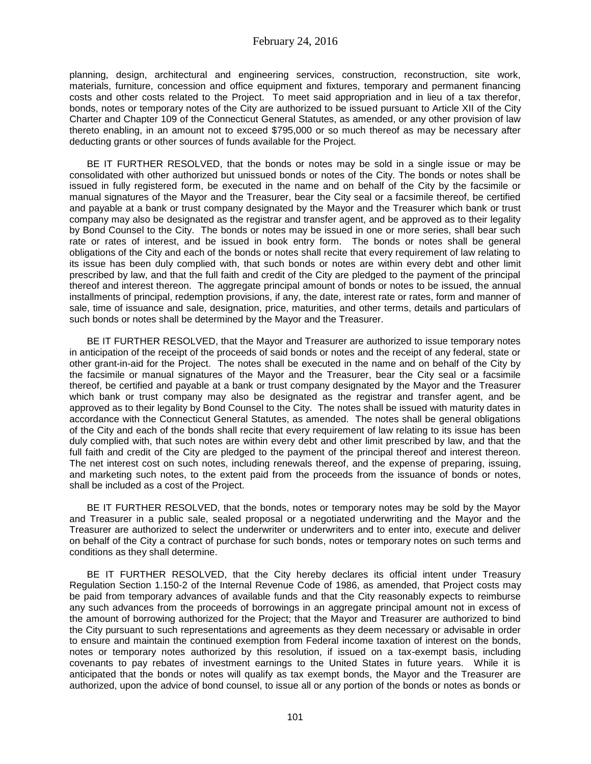planning, design, architectural and engineering services, construction, reconstruction, site work, materials, furniture, concession and office equipment and fixtures, temporary and permanent financing costs and other costs related to the Project. To meet said appropriation and in lieu of a tax therefor, bonds, notes or temporary notes of the City are authorized to be issued pursuant to Article XII of the City Charter and Chapter 109 of the Connecticut General Statutes, as amended, or any other provision of law thereto enabling, in an amount not to exceed \$795,000 or so much thereof as may be necessary after deducting grants or other sources of funds available for the Project.

BE IT FURTHER RESOLVED, that the bonds or notes may be sold in a single issue or may be consolidated with other authorized but unissued bonds or notes of the City. The bonds or notes shall be issued in fully registered form, be executed in the name and on behalf of the City by the facsimile or manual signatures of the Mayor and the Treasurer, bear the City seal or a facsimile thereof, be certified and payable at a bank or trust company designated by the Mayor and the Treasurer which bank or trust company may also be designated as the registrar and transfer agent, and be approved as to their legality by Bond Counsel to the City. The bonds or notes may be issued in one or more series, shall bear such rate or rates of interest, and be issued in book entry form. The bonds or notes shall be general obligations of the City and each of the bonds or notes shall recite that every requirement of law relating to its issue has been duly complied with, that such bonds or notes are within every debt and other limit prescribed by law, and that the full faith and credit of the City are pledged to the payment of the principal thereof and interest thereon. The aggregate principal amount of bonds or notes to be issued, the annual installments of principal, redemption provisions, if any, the date, interest rate or rates, form and manner of sale, time of issuance and sale, designation, price, maturities, and other terms, details and particulars of such bonds or notes shall be determined by the Mayor and the Treasurer.

BE IT FURTHER RESOLVED, that the Mayor and Treasurer are authorized to issue temporary notes in anticipation of the receipt of the proceeds of said bonds or notes and the receipt of any federal, state or other grant-in-aid for the Project. The notes shall be executed in the name and on behalf of the City by the facsimile or manual signatures of the Mayor and the Treasurer, bear the City seal or a facsimile thereof, be certified and payable at a bank or trust company designated by the Mayor and the Treasurer which bank or trust company may also be designated as the registrar and transfer agent, and be approved as to their legality by Bond Counsel to the City. The notes shall be issued with maturity dates in accordance with the Connecticut General Statutes, as amended. The notes shall be general obligations of the City and each of the bonds shall recite that every requirement of law relating to its issue has been duly complied with, that such notes are within every debt and other limit prescribed by law, and that the full faith and credit of the City are pledged to the payment of the principal thereof and interest thereon. The net interest cost on such notes, including renewals thereof, and the expense of preparing, issuing, and marketing such notes, to the extent paid from the proceeds from the issuance of bonds or notes, shall be included as a cost of the Project.

BE IT FURTHER RESOLVED, that the bonds, notes or temporary notes may be sold by the Mayor and Treasurer in a public sale, sealed proposal or a negotiated underwriting and the Mayor and the Treasurer are authorized to select the underwriter or underwriters and to enter into, execute and deliver on behalf of the City a contract of purchase for such bonds, notes or temporary notes on such terms and conditions as they shall determine.

BE IT FURTHER RESOLVED, that the City hereby declares its official intent under Treasury Regulation Section 1.150-2 of the Internal Revenue Code of 1986, as amended, that Project costs may be paid from temporary advances of available funds and that the City reasonably expects to reimburse any such advances from the proceeds of borrowings in an aggregate principal amount not in excess of the amount of borrowing authorized for the Project; that the Mayor and Treasurer are authorized to bind the City pursuant to such representations and agreements as they deem necessary or advisable in order to ensure and maintain the continued exemption from Federal income taxation of interest on the bonds, notes or temporary notes authorized by this resolution, if issued on a tax-exempt basis, including covenants to pay rebates of investment earnings to the United States in future years. While it is anticipated that the bonds or notes will qualify as tax exempt bonds, the Mayor and the Treasurer are authorized, upon the advice of bond counsel, to issue all or any portion of the bonds or notes as bonds or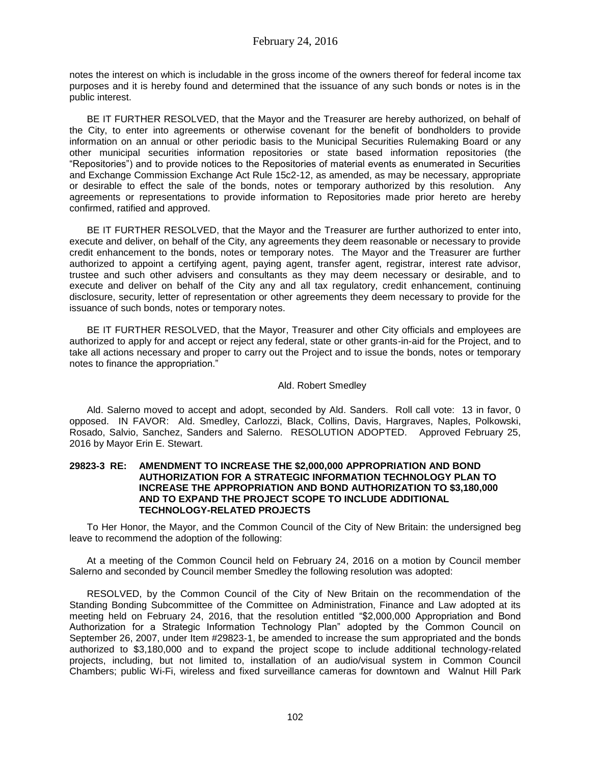notes the interest on which is includable in the gross income of the owners thereof for federal income tax purposes and it is hereby found and determined that the issuance of any such bonds or notes is in the public interest.

BE IT FURTHER RESOLVED, that the Mayor and the Treasurer are hereby authorized, on behalf of the City, to enter into agreements or otherwise covenant for the benefit of bondholders to provide information on an annual or other periodic basis to the Municipal Securities Rulemaking Board or any other municipal securities information repositories or state based information repositories (the "Repositories") and to provide notices to the Repositories of material events as enumerated in Securities and Exchange Commission Exchange Act Rule 15c2-12, as amended, as may be necessary, appropriate or desirable to effect the sale of the bonds, notes or temporary authorized by this resolution. Any agreements or representations to provide information to Repositories made prior hereto are hereby confirmed, ratified and approved.

BE IT FURTHER RESOLVED, that the Mayor and the Treasurer are further authorized to enter into, execute and deliver, on behalf of the City, any agreements they deem reasonable or necessary to provide credit enhancement to the bonds, notes or temporary notes. The Mayor and the Treasurer are further authorized to appoint a certifying agent, paying agent, transfer agent, registrar, interest rate advisor, trustee and such other advisers and consultants as they may deem necessary or desirable, and to execute and deliver on behalf of the City any and all tax regulatory, credit enhancement, continuing disclosure, security, letter of representation or other agreements they deem necessary to provide for the issuance of such bonds, notes or temporary notes.

BE IT FURTHER RESOLVED, that the Mayor, Treasurer and other City officials and employees are authorized to apply for and accept or reject any federal, state or other grants-in-aid for the Project, and to take all actions necessary and proper to carry out the Project and to issue the bonds, notes or temporary notes to finance the appropriation."

# Ald. Robert Smedley

Ald. Salerno moved to accept and adopt, seconded by Ald. Sanders. Roll call vote: 13 in favor, 0 opposed. IN FAVOR: Ald. Smedley, Carlozzi, Black, Collins, Davis, Hargraves, Naples, Polkowski, Rosado, Salvio, Sanchez, Sanders and Salerno. RESOLUTION ADOPTED. Approved February 25, 2016 by Mayor Erin E. Stewart.

### **29823-3 RE: AMENDMENT TO INCREASE THE \$2,000,000 APPROPRIATION AND BOND AUTHORIZATION FOR A STRATEGIC INFORMATION TECHNOLOGY PLAN TO INCREASE THE APPROPRIATION AND BOND AUTHORIZATION TO \$3,180,000 AND TO EXPAND THE PROJECT SCOPE TO INCLUDE ADDITIONAL TECHNOLOGY-RELATED PROJECTS**

To Her Honor, the Mayor, and the Common Council of the City of New Britain: the undersigned beg leave to recommend the adoption of the following:

At a meeting of the Common Council held on February 24, 2016 on a motion by Council member Salerno and seconded by Council member Smedley the following resolution was adopted:

RESOLVED, by the Common Council of the City of New Britain on the recommendation of the Standing Bonding Subcommittee of the Committee on Administration, Finance and Law adopted at its meeting held on February 24, 2016, that the resolution entitled "\$2,000,000 Appropriation and Bond Authorization for a Strategic Information Technology Plan" adopted by the Common Council on September 26, 2007, under Item #29823-1, be amended to increase the sum appropriated and the bonds authorized to \$3,180,000 and to expand the project scope to include additional technology-related projects, including, but not limited to, installation of an audio/visual system in Common Council Chambers; public Wi-Fi, wireless and fixed surveillance cameras for downtown and Walnut Hill Park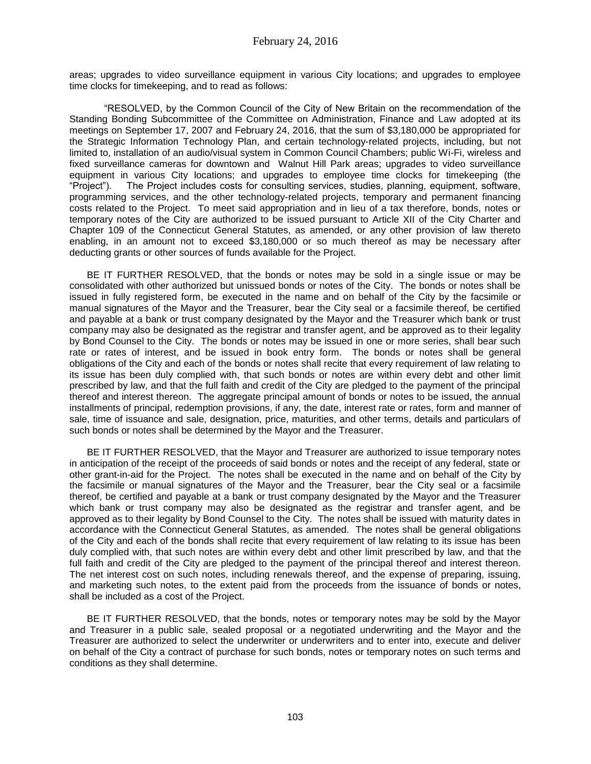areas; upgrades to video surveillance equipment in various City locations; and upgrades to employee time clocks for timekeeping, and to read as follows:

"RESOLVED, by the Common Council of the City of New Britain on the recommendation of the Standing Bonding Subcommittee of the Committee on Administration, Finance and Law adopted at its meetings on September 17, 2007 and February 24, 2016, that the sum of \$3,180,000 be appropriated for the Strategic Information Technology Plan, and certain technology-related projects, including, but not limited to, installation of an audio/visual system in Common Council Chambers; public Wi-Fi, wireless and fixed surveillance cameras for downtown and Walnut Hill Park areas; upgrades to video surveillance equipment in various City locations; and upgrades to employee time clocks for timekeeping (the "Project"). The Project includes costs for consulting services, studies, planning, equipment, software, programming services, and the other technology-related projects, temporary and permanent financing costs related to the Project. To meet said appropriation and in lieu of a tax therefore, bonds, notes or temporary notes of the City are authorized to be issued pursuant to Article XII of the City Charter and Chapter 109 of the Connecticut General Statutes, as amended, or any other provision of law thereto enabling, in an amount not to exceed \$3,180,000 or so much thereof as may be necessary after deducting grants or other sources of funds available for the Project.

BE IT FURTHER RESOLVED, that the bonds or notes may be sold in a single issue or may be consolidated with other authorized but unissued bonds or notes of the City. The bonds or notes shall be issued in fully registered form, be executed in the name and on behalf of the City by the facsimile or manual signatures of the Mayor and the Treasurer, bear the City seal or a facsimile thereof, be certified and payable at a bank or trust company designated by the Mayor and the Treasurer which bank or trust company may also be designated as the registrar and transfer agent, and be approved as to their legality by Bond Counsel to the City. The bonds or notes may be issued in one or more series, shall bear such rate or rates of interest, and be issued in book entry form. The bonds or notes shall be general obligations of the City and each of the bonds or notes shall recite that every requirement of law relating to its issue has been duly complied with, that such bonds or notes are within every debt and other limit prescribed by law, and that the full faith and credit of the City are pledged to the payment of the principal thereof and interest thereon. The aggregate principal amount of bonds or notes to be issued, the annual installments of principal, redemption provisions, if any, the date, interest rate or rates, form and manner of sale, time of issuance and sale, designation, price, maturities, and other terms, details and particulars of such bonds or notes shall be determined by the Mayor and the Treasurer.

BE IT FURTHER RESOLVED, that the Mayor and Treasurer are authorized to issue temporary notes in anticipation of the receipt of the proceeds of said bonds or notes and the receipt of any federal, state or other grant-in-aid for the Project. The notes shall be executed in the name and on behalf of the City by the facsimile or manual signatures of the Mayor and the Treasurer, bear the City seal or a facsimile thereof, be certified and payable at a bank or trust company designated by the Mayor and the Treasurer which bank or trust company may also be designated as the registrar and transfer agent, and be approved as to their legality by Bond Counsel to the City. The notes shall be issued with maturity dates in accordance with the Connecticut General Statutes, as amended. The notes shall be general obligations of the City and each of the bonds shall recite that every requirement of law relating to its issue has been duly complied with, that such notes are within every debt and other limit prescribed by law, and that the full faith and credit of the City are pledged to the payment of the principal thereof and interest thereon. The net interest cost on such notes, including renewals thereof, and the expense of preparing, issuing, and marketing such notes, to the extent paid from the proceeds from the issuance of bonds or notes, shall be included as a cost of the Project.

BE IT FURTHER RESOLVED, that the bonds, notes or temporary notes may be sold by the Mayor and Treasurer in a public sale, sealed proposal or a negotiated underwriting and the Mayor and the Treasurer are authorized to select the underwriter or underwriters and to enter into, execute and deliver on behalf of the City a contract of purchase for such bonds, notes or temporary notes on such terms and conditions as they shall determine.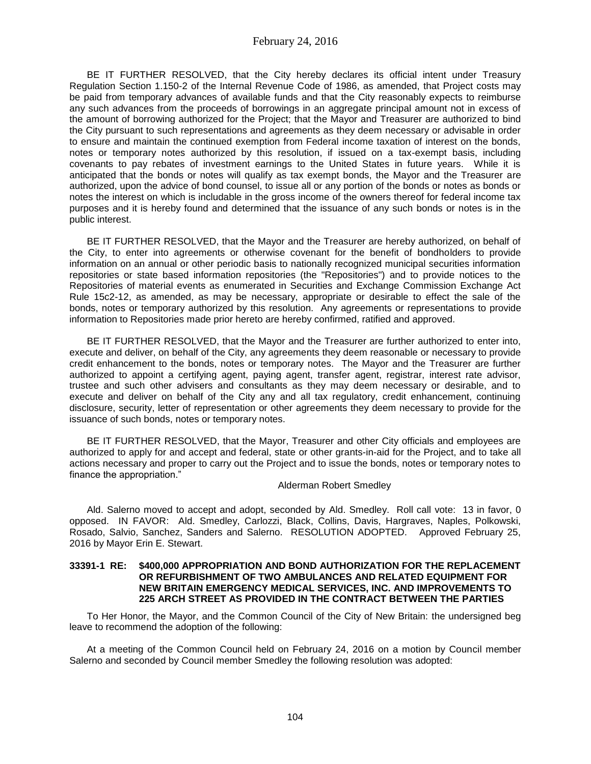BE IT FURTHER RESOLVED, that the City hereby declares its official intent under Treasury Regulation Section 1.150-2 of the Internal Revenue Code of 1986, as amended, that Project costs may be paid from temporary advances of available funds and that the City reasonably expects to reimburse any such advances from the proceeds of borrowings in an aggregate principal amount not in excess of the amount of borrowing authorized for the Project; that the Mayor and Treasurer are authorized to bind the City pursuant to such representations and agreements as they deem necessary or advisable in order to ensure and maintain the continued exemption from Federal income taxation of interest on the bonds, notes or temporary notes authorized by this resolution, if issued on a tax-exempt basis, including covenants to pay rebates of investment earnings to the United States in future years. While it is anticipated that the bonds or notes will qualify as tax exempt bonds, the Mayor and the Treasurer are authorized, upon the advice of bond counsel, to issue all or any portion of the bonds or notes as bonds or notes the interest on which is includable in the gross income of the owners thereof for federal income tax purposes and it is hereby found and determined that the issuance of any such bonds or notes is in the public interest.

BE IT FURTHER RESOLVED, that the Mayor and the Treasurer are hereby authorized, on behalf of the City, to enter into agreements or otherwise covenant for the benefit of bondholders to provide information on an annual or other periodic basis to nationally recognized municipal securities information repositories or state based information repositories (the "Repositories") and to provide notices to the Repositories of material events as enumerated in Securities and Exchange Commission Exchange Act Rule 15c2-12, as amended, as may be necessary, appropriate or desirable to effect the sale of the bonds, notes or temporary authorized by this resolution. Any agreements or representations to provide information to Repositories made prior hereto are hereby confirmed, ratified and approved.

BE IT FURTHER RESOLVED, that the Mayor and the Treasurer are further authorized to enter into, execute and deliver, on behalf of the City, any agreements they deem reasonable or necessary to provide credit enhancement to the bonds, notes or temporary notes. The Mayor and the Treasurer are further authorized to appoint a certifying agent, paying agent, transfer agent, registrar, interest rate advisor, trustee and such other advisers and consultants as they may deem necessary or desirable, and to execute and deliver on behalf of the City any and all tax regulatory, credit enhancement, continuing disclosure, security, letter of representation or other agreements they deem necessary to provide for the issuance of such bonds, notes or temporary notes.

BE IT FURTHER RESOLVED, that the Mayor, Treasurer and other City officials and employees are authorized to apply for and accept and federal, state or other grants-in-aid for the Project, and to take all actions necessary and proper to carry out the Project and to issue the bonds, notes or temporary notes to finance the appropriation."

Alderman Robert Smedley

Ald. Salerno moved to accept and adopt, seconded by Ald. Smedley. Roll call vote: 13 in favor, 0 opposed. IN FAVOR: Ald. Smedley, Carlozzi, Black, Collins, Davis, Hargraves, Naples, Polkowski, Rosado, Salvio, Sanchez, Sanders and Salerno. RESOLUTION ADOPTED. Approved February 25, 2016 by Mayor Erin E. Stewart.

# **33391-1 RE: \$400,000 APPROPRIATION AND BOND AUTHORIZATION FOR THE REPLACEMENT OR REFURBISHMENT OF TWO AMBULANCES AND RELATED EQUIPMENT FOR NEW BRITAIN EMERGENCY MEDICAL SERVICES, INC. AND IMPROVEMENTS TO 225 ARCH STREET AS PROVIDED IN THE CONTRACT BETWEEN THE PARTIES**

To Her Honor, the Mayor, and the Common Council of the City of New Britain: the undersigned beg leave to recommend the adoption of the following:

At a meeting of the Common Council held on February 24, 2016 on a motion by Council member Salerno and seconded by Council member Smedley the following resolution was adopted: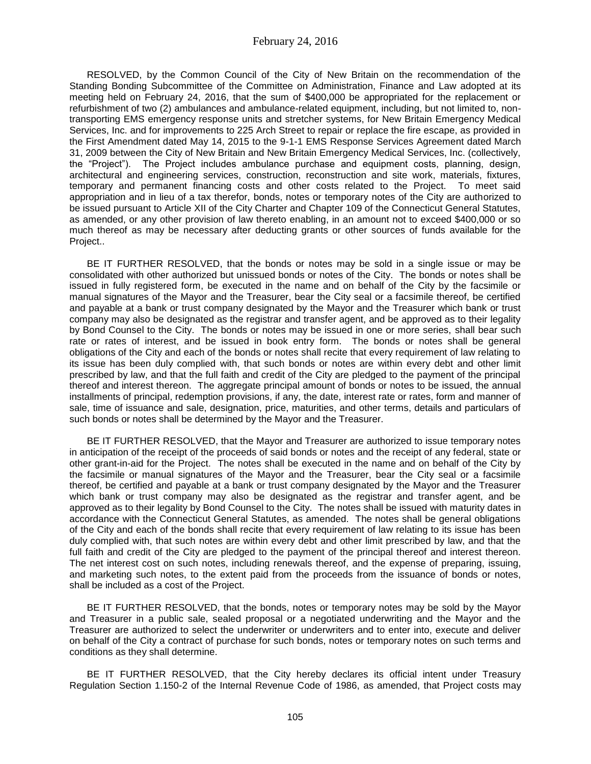RESOLVED, by the Common Council of the City of New Britain on the recommendation of the Standing Bonding Subcommittee of the Committee on Administration, Finance and Law adopted at its meeting held on February 24, 2016, that the sum of \$400,000 be appropriated for the replacement or refurbishment of two (2) ambulances and ambulance-related equipment, including, but not limited to, nontransporting EMS emergency response units and stretcher systems, for New Britain Emergency Medical Services, Inc. and for improvements to 225 Arch Street to repair or replace the fire escape, as provided in the First Amendment dated May 14, 2015 to the 9-1-1 EMS Response Services Agreement dated March 31, 2009 between the City of New Britain and New Britain Emergency Medical Services, Inc. (collectively, the "Project"). The Project includes ambulance purchase and equipment costs, planning, design, architectural and engineering services, construction, reconstruction and site work, materials, fixtures, temporary and permanent financing costs and other costs related to the Project. To meet said appropriation and in lieu of a tax therefor, bonds, notes or temporary notes of the City are authorized to be issued pursuant to Article XII of the City Charter and Chapter 109 of the Connecticut General Statutes, as amended, or any other provision of law thereto enabling, in an amount not to exceed \$400,000 or so much thereof as may be necessary after deducting grants or other sources of funds available for the Project..

BE IT FURTHER RESOLVED, that the bonds or notes may be sold in a single issue or may be consolidated with other authorized but unissued bonds or notes of the City. The bonds or notes shall be issued in fully registered form, be executed in the name and on behalf of the City by the facsimile or manual signatures of the Mayor and the Treasurer, bear the City seal or a facsimile thereof, be certified and payable at a bank or trust company designated by the Mayor and the Treasurer which bank or trust company may also be designated as the registrar and transfer agent, and be approved as to their legality by Bond Counsel to the City. The bonds or notes may be issued in one or more series, shall bear such rate or rates of interest, and be issued in book entry form. The bonds or notes shall be general obligations of the City and each of the bonds or notes shall recite that every requirement of law relating to its issue has been duly complied with, that such bonds or notes are within every debt and other limit prescribed by law, and that the full faith and credit of the City are pledged to the payment of the principal thereof and interest thereon. The aggregate principal amount of bonds or notes to be issued, the annual installments of principal, redemption provisions, if any, the date, interest rate or rates, form and manner of sale, time of issuance and sale, designation, price, maturities, and other terms, details and particulars of such bonds or notes shall be determined by the Mayor and the Treasurer.

BE IT FURTHER RESOLVED, that the Mayor and Treasurer are authorized to issue temporary notes in anticipation of the receipt of the proceeds of said bonds or notes and the receipt of any federal, state or other grant-in-aid for the Project. The notes shall be executed in the name and on behalf of the City by the facsimile or manual signatures of the Mayor and the Treasurer, bear the City seal or a facsimile thereof, be certified and payable at a bank or trust company designated by the Mayor and the Treasurer which bank or trust company may also be designated as the registrar and transfer agent, and be approved as to their legality by Bond Counsel to the City. The notes shall be issued with maturity dates in accordance with the Connecticut General Statutes, as amended. The notes shall be general obligations of the City and each of the bonds shall recite that every requirement of law relating to its issue has been duly complied with, that such notes are within every debt and other limit prescribed by law, and that the full faith and credit of the City are pledged to the payment of the principal thereof and interest thereon. The net interest cost on such notes, including renewals thereof, and the expense of preparing, issuing, and marketing such notes, to the extent paid from the proceeds from the issuance of bonds or notes, shall be included as a cost of the Project.

BE IT FURTHER RESOLVED, that the bonds, notes or temporary notes may be sold by the Mayor and Treasurer in a public sale, sealed proposal or a negotiated underwriting and the Mayor and the Treasurer are authorized to select the underwriter or underwriters and to enter into, execute and deliver on behalf of the City a contract of purchase for such bonds, notes or temporary notes on such terms and conditions as they shall determine.

BE IT FURTHER RESOLVED, that the City hereby declares its official intent under Treasury Regulation Section 1.150-2 of the Internal Revenue Code of 1986, as amended, that Project costs may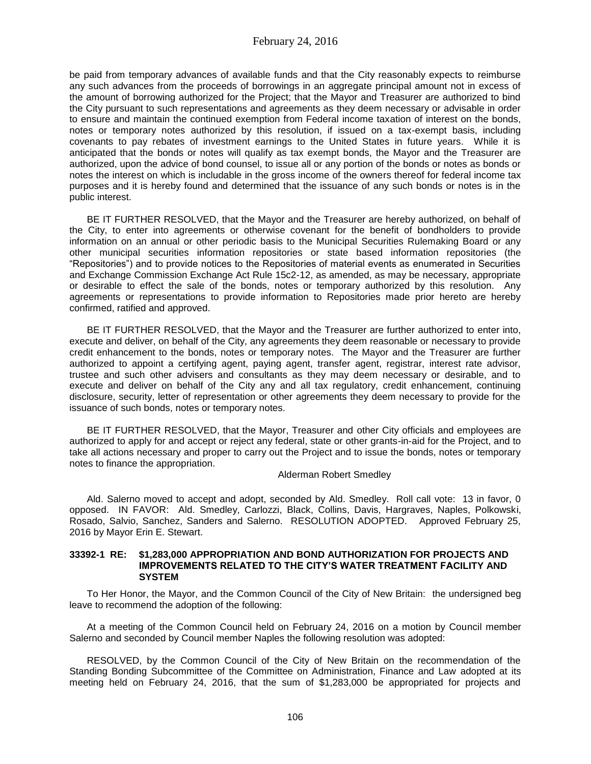be paid from temporary advances of available funds and that the City reasonably expects to reimburse any such advances from the proceeds of borrowings in an aggregate principal amount not in excess of the amount of borrowing authorized for the Project; that the Mayor and Treasurer are authorized to bind the City pursuant to such representations and agreements as they deem necessary or advisable in order to ensure and maintain the continued exemption from Federal income taxation of interest on the bonds, notes or temporary notes authorized by this resolution, if issued on a tax-exempt basis, including covenants to pay rebates of investment earnings to the United States in future years. While it is anticipated that the bonds or notes will qualify as tax exempt bonds, the Mayor and the Treasurer are authorized, upon the advice of bond counsel, to issue all or any portion of the bonds or notes as bonds or notes the interest on which is includable in the gross income of the owners thereof for federal income tax purposes and it is hereby found and determined that the issuance of any such bonds or notes is in the public interest.

BE IT FURTHER RESOLVED, that the Mayor and the Treasurer are hereby authorized, on behalf of the City, to enter into agreements or otherwise covenant for the benefit of bondholders to provide information on an annual or other periodic basis to the Municipal Securities Rulemaking Board or any other municipal securities information repositories or state based information repositories (the "Repositories") and to provide notices to the Repositories of material events as enumerated in Securities and Exchange Commission Exchange Act Rule 15c2-12, as amended, as may be necessary, appropriate or desirable to effect the sale of the bonds, notes or temporary authorized by this resolution. Any agreements or representations to provide information to Repositories made prior hereto are hereby confirmed, ratified and approved.

BE IT FURTHER RESOLVED, that the Mayor and the Treasurer are further authorized to enter into, execute and deliver, on behalf of the City, any agreements they deem reasonable or necessary to provide credit enhancement to the bonds, notes or temporary notes. The Mayor and the Treasurer are further authorized to appoint a certifying agent, paying agent, transfer agent, registrar, interest rate advisor, trustee and such other advisers and consultants as they may deem necessary or desirable, and to execute and deliver on behalf of the City any and all tax regulatory, credit enhancement, continuing disclosure, security, letter of representation or other agreements they deem necessary to provide for the issuance of such bonds, notes or temporary notes.

BE IT FURTHER RESOLVED, that the Mayor, Treasurer and other City officials and employees are authorized to apply for and accept or reject any federal, state or other grants-in-aid for the Project, and to take all actions necessary and proper to carry out the Project and to issue the bonds, notes or temporary notes to finance the appropriation.

# Alderman Robert Smedley

Ald. Salerno moved to accept and adopt, seconded by Ald. Smedley. Roll call vote: 13 in favor, 0 opposed. IN FAVOR: Ald. Smedley, Carlozzi, Black, Collins, Davis, Hargraves, Naples, Polkowski, Rosado, Salvio, Sanchez, Sanders and Salerno. RESOLUTION ADOPTED. Approved February 25, 2016 by Mayor Erin E. Stewart.

#### **33392-1 RE: \$1,283,000 APPROPRIATION AND BOND AUTHORIZATION FOR PROJECTS AND IMPROVEMENTS RELATED TO THE CITY'S WATER TREATMENT FACILITY AND SYSTEM**

To Her Honor, the Mayor, and the Common Council of the City of New Britain: the undersigned beg leave to recommend the adoption of the following:

At a meeting of the Common Council held on February 24, 2016 on a motion by Council member Salerno and seconded by Council member Naples the following resolution was adopted:

RESOLVED, by the Common Council of the City of New Britain on the recommendation of the Standing Bonding Subcommittee of the Committee on Administration, Finance and Law adopted at its meeting held on February 24, 2016, that the sum of \$1,283,000 be appropriated for projects and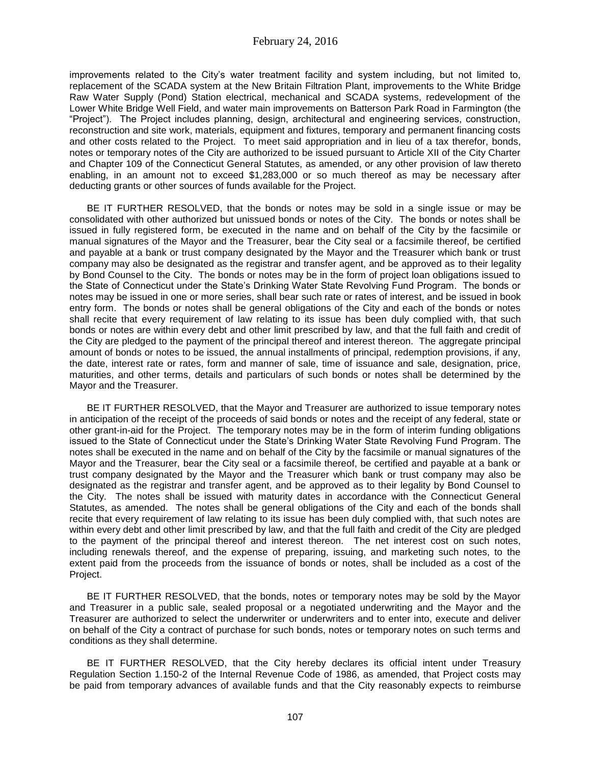improvements related to the City's water treatment facility and system including, but not limited to, replacement of the SCADA system at the New Britain Filtration Plant, improvements to the White Bridge Raw Water Supply (Pond) Station electrical, mechanical and SCADA systems, redevelopment of the Lower White Bridge Well Field, and water main improvements on Batterson Park Road in Farmington (the "Project"). The Project includes planning, design, architectural and engineering services, construction, reconstruction and site work, materials, equipment and fixtures, temporary and permanent financing costs and other costs related to the Project. To meet said appropriation and in lieu of a tax therefor, bonds, notes or temporary notes of the City are authorized to be issued pursuant to Article XII of the City Charter and Chapter 109 of the Connecticut General Statutes, as amended, or any other provision of law thereto enabling, in an amount not to exceed \$1,283,000 or so much thereof as may be necessary after deducting grants or other sources of funds available for the Project.

BE IT FURTHER RESOLVED, that the bonds or notes may be sold in a single issue or may be consolidated with other authorized but unissued bonds or notes of the City. The bonds or notes shall be issued in fully registered form, be executed in the name and on behalf of the City by the facsimile or manual signatures of the Mayor and the Treasurer, bear the City seal or a facsimile thereof, be certified and payable at a bank or trust company designated by the Mayor and the Treasurer which bank or trust company may also be designated as the registrar and transfer agent, and be approved as to their legality by Bond Counsel to the City. The bonds or notes may be in the form of project loan obligations issued to the State of Connecticut under the State's Drinking Water State Revolving Fund Program. The bonds or notes may be issued in one or more series, shall bear such rate or rates of interest, and be issued in book entry form. The bonds or notes shall be general obligations of the City and each of the bonds or notes shall recite that every requirement of law relating to its issue has been duly complied with, that such bonds or notes are within every debt and other limit prescribed by law, and that the full faith and credit of the City are pledged to the payment of the principal thereof and interest thereon. The aggregate principal amount of bonds or notes to be issued, the annual installments of principal, redemption provisions, if any, the date, interest rate or rates, form and manner of sale, time of issuance and sale, designation, price, maturities, and other terms, details and particulars of such bonds or notes shall be determined by the Mayor and the Treasurer.

BE IT FURTHER RESOLVED, that the Mayor and Treasurer are authorized to issue temporary notes in anticipation of the receipt of the proceeds of said bonds or notes and the receipt of any federal, state or other grant-in-aid for the Project. The temporary notes may be in the form of interim funding obligations issued to the State of Connecticut under the State's Drinking Water State Revolving Fund Program. The notes shall be executed in the name and on behalf of the City by the facsimile or manual signatures of the Mayor and the Treasurer, bear the City seal or a facsimile thereof, be certified and payable at a bank or trust company designated by the Mayor and the Treasurer which bank or trust company may also be designated as the registrar and transfer agent, and be approved as to their legality by Bond Counsel to the City. The notes shall be issued with maturity dates in accordance with the Connecticut General Statutes, as amended. The notes shall be general obligations of the City and each of the bonds shall recite that every requirement of law relating to its issue has been duly complied with, that such notes are within every debt and other limit prescribed by law, and that the full faith and credit of the City are pledged to the payment of the principal thereof and interest thereon. The net interest cost on such notes, including renewals thereof, and the expense of preparing, issuing, and marketing such notes, to the extent paid from the proceeds from the issuance of bonds or notes, shall be included as a cost of the Project.

BE IT FURTHER RESOLVED, that the bonds, notes or temporary notes may be sold by the Mayor and Treasurer in a public sale, sealed proposal or a negotiated underwriting and the Mayor and the Treasurer are authorized to select the underwriter or underwriters and to enter into, execute and deliver on behalf of the City a contract of purchase for such bonds, notes or temporary notes on such terms and conditions as they shall determine.

BE IT FURTHER RESOLVED, that the City hereby declares its official intent under Treasury Regulation Section 1.150-2 of the Internal Revenue Code of 1986, as amended, that Project costs may be paid from temporary advances of available funds and that the City reasonably expects to reimburse